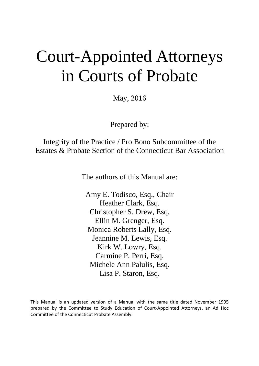# Court-Appointed Attorneys in Courts of Probate

May, 2016

Prepared by:

Integrity of the Practice / Pro Bono Subcommittee of the Estates & Probate Section of the Connecticut Bar Association

The authors of this Manual are:

Amy E. Todisco, Esq., Chair Heather Clark, Esq. Christopher S. Drew, Esq. Ellin M. Grenger, Esq. Monica Roberts Lally, Esq. Jeannine M. Lewis, Esq. Kirk W. Lowry, Esq. Carmine P. Perri, Esq. Michele Ann Palulis, Esq. Lisa P. Staron, Esq.

This Manual is an updated version of a Manual with the same title dated November 1995 prepared by the Committee to Study Education of Court-Appointed Attorneys, an Ad Hoc Committee of the Connecticut Probate Assembly.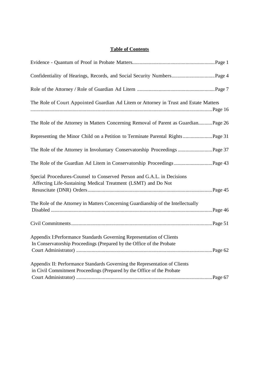# **Table of Contents**

| The Role of Court Appointed Guardian Ad Litem or Attorney in Trust and Estate Matters                                                                |  |
|------------------------------------------------------------------------------------------------------------------------------------------------------|--|
| The Role of the Attorney in Matters Concerning Removal of Parent as GuardianPage 26                                                                  |  |
| Representing the Minor Child on a Petition to Terminate Parental Rights  Page 31                                                                     |  |
| The Role of the Attorney in Involuntary Conservatorship Proceedings  Page 37                                                                         |  |
|                                                                                                                                                      |  |
| Special Procedures-Counsel to Conserved Person and G.A.L. in Decisions<br>Affecting Life-Sustaining Medical Treatment (LSMT) and Do Not              |  |
| The Role of the Attorney in Matters Concerning Guardianship of the Intellectually                                                                    |  |
|                                                                                                                                                      |  |
| Appendix I: Performance Standards Governing Representation of Clients<br>In Conservatorship Proceedings (Prepared by the Office of the Probate       |  |
| Appendix II: Performance Standards Governing the Representation of Clients<br>in Civil Commitment Proceedings (Prepared by the Office of the Probate |  |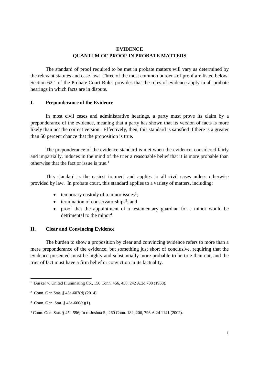## **EVIDENCE QUANTUM OF PROOF IN PROBATE MATTERS**

The standard of proof required to be met in probate matters will vary as determined by the relevant statutes and case law. Three of the most common burdens of proof are listed below. Section 62.1 of the Probate Court Rules provides that the rules of evidence apply in all probate hearings in which facts are in dispute.

## **I. Preponderance of the Evidence**

In most civil cases and administrative hearings, a party must prove its claim by a preponderance of the evidence, meaning that a party has shown that its version of facts is more likely than not the correct version. Effectively, then, this standard is satisfied if there is a greater than 50 percent chance that the proposition is true.

The preponderance of the evidence standard is met when the evidence, considered fairly and impartially, induces in the mind of the trier a reasonable belief that it is more probable than otherwise that the fact or issue is true.<sup>1</sup>

This standard is the easiest to meet and applies to all civil cases unless otherwise provided by law. In probate court, this standard applies to a variety of matters, including:

- $\bullet$  temporary custody of a minor issues<sup>2</sup>;
- $\bullet$  termination of conservatorships<sup>3</sup>; and
- proof that the appointment of a testamentary guardian for a minor would be detrimental to the minor<sup>4</sup>

## **II. Clear and Convincing Evidence**

The burden to show a proposition by clear and convincing evidence refers to more than a mere preponderance of the evidence, but something just short of conclusive, requiring that the evidence presented must be highly and substantially more probable to be true than not, and the trier of fact must have a firm belief or conviction in its factuality.

<sup>&</sup>lt;sup>1</sup> Busker v. United Illuminating Co., 156 Conn. 456, 458, 242 A.2d 708 (1968).

<sup>2</sup> Conn. Gen Stat. § 45a-607(d) (2014).

<sup>&</sup>lt;sup>3</sup> Conn. Gen. Stat. §  $45a-660(a)(1)$ .

<sup>4</sup> Conn. Gen. Stat. § 45a-596; In re Joshua S., 260 Conn. 182, 206, 796 A.2d 1141 (2002).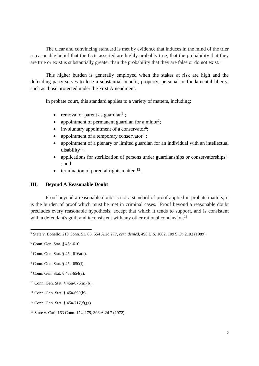The clear and convincing standard is met by evidence that induces in the mind of the trier a reasonable belief that the facts asserted are highly probably true, that the probability that they are true or exist is substantially greater than the probability that they are false or do not exist.<sup>5</sup>

This higher burden is generally employed when the stakes at risk are high and the defending party serves to lose a substantial benefit, property, personal or fundamental liberty, such as those protected under the First Amendment.

In probate court, this standard applies to a variety of matters, including:

- removal of parent as guardian<sup>6</sup>;
- appointment of permanent guardian for a minor<sup>7</sup>;
- involuntary appointment of a conservator<sup>8</sup>;
- appointment of a temporary conservator<sup>9</sup>;
- appointment of a plenary or limited guardian for an individual with an intellectual disability<sup>10</sup>;
- applications for sterilization of persons under guardianships or conservatorships<sup>11</sup> ; and
- $\bullet$  termination of parental rights matters<sup>12</sup>.

## **III. Beyond A Reasonable Doubt**

Proof beyond a reasonable doubt is not a standard of proof applied in probate matters; it is the burden of proof which must be met in criminal cases. Proof beyond a reasonable doubt precludes every reasonable hypothesis, except that which it tends to support, and is consistent with a defendant's guilt and inconsistent with any other rational conclusion.<sup>13</sup>

<sup>5</sup> State v. Bonello*,* 210 Conn. 51, 66, 554 A.2d 277, *cert. denied*, 490 U.S. 1082, 109 S.Ct. 2103 (1989).

<sup>6</sup> Conn. Gen. Stat. § 45a-610.

<sup>7</sup> Conn. Gen. Stat. § 45a-616a(a).

<sup>8</sup> Conn. Gen. Stat. § 45a-650(f).

<sup>9</sup> Conn. Gen. Stat. § 45a-654(a).

<sup>10</sup> Conn. Gen. Stat. § 45a-676(a),(b).

<sup>11</sup> Conn. Gen. Stat. § 45a-699(b).

<sup>&</sup>lt;sup>12</sup> Conn. Gen. Stat. § 45a-717(f),(g).

<sup>13</sup> State v. Cari, 163 Conn. 174, 179, 303 A.2d 7 (1972).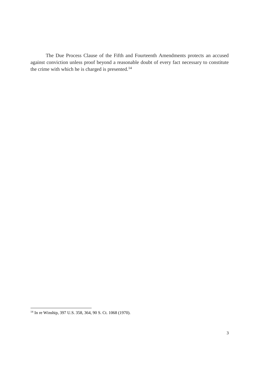The Due Process Clause of the Fifth and Fourteenth Amendments protects an accused against conviction unless proof beyond a reasonable doubt of every fact necessary to constitute the crime with which he is charged is presented.<sup>14</sup>

<sup>14</sup> In re Winship, 397 U.S. 358, 364, 90 S. Ct. 1068 (1970).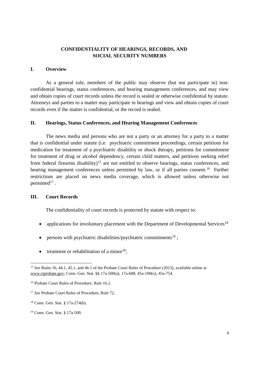## **CONFIDENTIALITY OF HEARINGS, RECORDS, AND SOCIAL SECURITY NUMBERS**

## **I. Overview**

As a general rule, members of the public may observe (but not participate in) nonconfidential hearings, status conferences, and hearing management conferences, and may view and obtain copies of court records unless the record is sealed or otherwise confidential by statute. Attorneys and parties to a matter may participate in hearings and view and obtain copies of court records even if the matter is confidential, or the record is sealed.

## **II. Hearings, Status Conferences, and Hearing Management Conferences**

The news media and persons who are not a party or an attorney for a party to a matter that is confidential under statute (i.e. psychiatric commitment proceedings, certain petitions for medication for treatment of a psychiatric disability or shock therapy, petitions for commitment for treatment of drug or alcohol dependency, certain child matters, and petitions seeking relief from federal firearms disability)<sup>15</sup> are not entitled to observe hearings, status conferences, and hearing management conferences unless permitted by law, or if all parties consent.<sup>16</sup> Further restrictions are placed on news media coverage, which is allowed unless otherwise not permitted $17$ .

## **III. Court Records**

The confidentiality of court records is protected by statute with respect to:

- applications for involuntary placement with the Department of Developmental Services<sup>18</sup>
- persons with psychiatric disabilities/psychiatric commitments<sup>19</sup>:
- treatment or rehabilitation of a minor<sup>20</sup>;

<sup>&</sup>lt;sup>15</sup> *See* Rules 16, 44.1, 45.1, and 46.1 of the Probate Court Rules of Procedure (2013), available online at www.ctprobate.gov; Conn. Gen. Stat. §§ 17a-500(a), 17a-688, 45a-100(o), 45a-754.

<sup>16</sup> Probate Court Rules of Procedure, Rule 16.2.

<sup>17</sup> *See* Probate Court Rules of Procedure, Rule 72.

<sup>18</sup> Conn. Gen. Stat. § 17a-274(b).

<sup>19</sup> Conn. Gen. Stat. § 17a-500.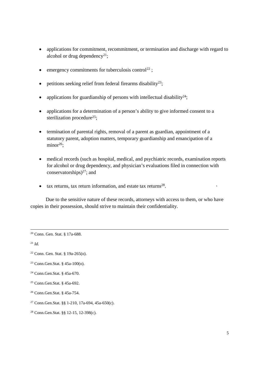- applications for commitment, recommitment, or termination and discharge with regard to alcohol or drug dependency<sup>21</sup>;
- $\bullet$  emergency commitments for tuberculosis control<sup>22</sup>;
- $\bullet$  petitions seeking relief from federal firearms disability<sup>23</sup>;
- applications for guardianship of persons with intellectual disability<sup>24</sup>;
- applications for a determination of a person's ability to give informed consent to a sterilization procedure<sup>25</sup>;
- termination of parental rights, removal of a parent as guardian, appointment of a statutory parent, adoption matters, temporary guardianship and emancipation of a  $minor<sup>26</sup>$ :
- medical records (such as hospital, medical, and psychiatric records, examination reports for alcohol or drug dependency, and physician's evaluations filed in connection with conservatorships) <sup>27</sup>; and
- $\bullet$  tax returns, tax return information, and estate tax returns<sup>28</sup>.

Due to the sensitive nature of these records, attorneys with access to them, or who have copies in their possession, should strive to maintain their confidentiality.

<sup>21</sup> *Id.*

- <sup>23</sup> Conn.Gen.Stat. § 45a-100(o).
- <sup>24</sup> Conn.Gen.Stat. § 45a-670.
- <sup>25</sup> Conn.Gen.Stat. § 45a-692.
- <sup>26</sup> Conn.Gen.Stat. § 45a-754.
- <sup>27</sup> Conn.Gen.Stat. §§ 1-210, 17a-694, 45a-650(c).
- <sup>28</sup> Conn.Gen.Stat. §§ 12-15, 12-398(c).

<sup>20</sup> Conn. Gen. Stat. § 17a-688.

<sup>22</sup> Conn. Gen. Stat. § 19a-265(o).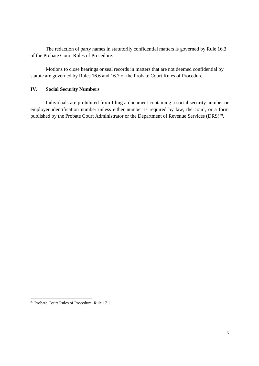The redaction of party names in statutorily confidential matters is governed by Rule 16.3 of the Probate Court Rules of Procedure.

Motions to close hearings or seal records in matters that are not deemed confidential by statute are governed by Rules 16.6 and 16.7 of the Probate Court Rules of Procedure.

## **IV. Social Security Numbers**

Individuals are prohibited from filing a document containing a social security number or employer identification number unless either number is required by law, the court, or a form published by the Probate Court Administrator or the Department of Revenue Services (DRS)<sup>29</sup>.

<sup>29</sup> Probate Court Rules of Procedure, Rule 17.1.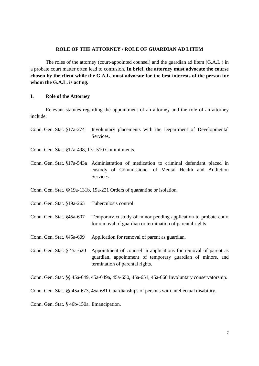#### **ROLE OF THE ATTORNEY / ROLE OF GUARDIAN AD LITEM**

The roles of the attorney (court-appointed counsel) and the guardian ad litem (G.A.L.) in a probate court matter often lead to confusion. **In brief, the attorney must advocate the course chosen by the client while the G.A.L. must advocate for the best interests of the person for whom the G.A.L. is acting.**

## **I. Role of the Attorney**

Relevant statutes regarding the appointment of an attorney and the role of an attorney include:

Conn. Gen. Stat. §17a-274 Involuntary placements with the Department of Developmental **Services** 

Conn. Gen. Stat. §17a-498, 17a-510 Commitments.

Conn. Gen. Stat. §17a-543a Administration of medication to criminal defendant placed in custody of Commissioner of Mental Health and Addiction Services.

Conn. Gen. Stat. §§19a-131b, 19a-221 Orders of quarantine or isolation.

Conn. Gen. Stat. §19a-265 Tuberculosis control.

- Conn. Gen. Stat. §45a-607 Temporary custody of minor pending application to probate court for removal of guardian or termination of parental rights.
- Conn. Gen. Stat. §45a-609 Application for removal of parent as guardian.
- Conn. Gen. Stat. § 45a-620 Appointment of counsel in applications for removal of parent as guardian, appointment of temporary guardian of minors, and termination of parental rights.

Conn. Gen. Stat. §§ 45a-649, 45a-649a, 45a-650, 45a-651, 45a-660 Involuntary conservatorship.

Conn. Gen. Stat. §§ 45a-673, 45a-681 Guardianships of persons with intellectual disability.

Conn. Gen. Stat. § 46b-150a. Emancipation.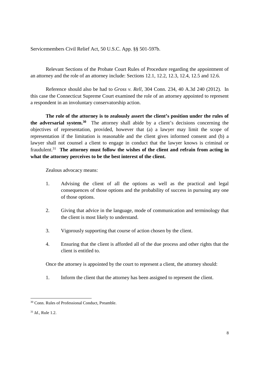Servicemembers Civil Relief Act, 50 U.S.C. App. §§ 501-597b.

Relevant Sections of the Probate Court Rules of Procedure regarding the appointment of an attorney and the role of an attorney include: Sections 12.1, 12.2, 12.3, 12.4, 12.5 and 12.6.

Reference should also be had to *Gross v. Rell*, 304 Conn. 234, 40 A.3d 240 (2012). In this case the Connecticut Supreme Court examined the role of an attorney appointed to represent a respondent in an involuntary conservatorship action.

**The role of the attorney is to zealously assert the client's position under the rules of the adversarial system.<sup>30</sup>** The attorney shall abide by a client's decisions concerning the objectives of representation, provided, however that (a) a lawyer may limit the scope of representation if the limitation is reasonable and the client gives informed consent and (b) a lawyer shall not counsel a client to engage in conduct that the lawyer knows is criminal or fraudulent.<sup>31</sup> **The attorney must follow the wishes of the client and refrain from acting in what the attorney perceives to be the best interest of the client.**

Zealous advocacy means:

- 1. Advising the client of all the options as well as the practical and legal consequences of those options and the probability of success in pursuing any one of those options.
- 2. Giving that advice in the language, mode of communication and terminology that the client is most likely to understand.
- 3. Vigorously supporting that course of action chosen by the client.
- 4. Ensuring that the client is afforded all of the due process and other rights that the client is entitled to.

Once the attorney is appointed by the court to represent a client, the attorney should:

1. Inform the client that the attorney has been assigned to represent the client.

<sup>30</sup> Conn. Rules of Professional Conduct, Preamble.

<sup>31</sup> *Id.*, Rule 1.2.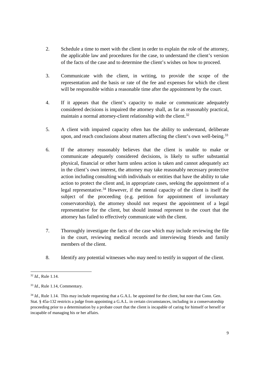- 2. Schedule a time to meet with the client in order to explain the role of the attorney, the applicable law and procedures for the case, to understand the client's version of the facts of the case and to determine the client's wishes on how to proceed.
- 3. Communicate with the client, in writing, to provide the scope of the representation and the basis or rate of the fee and expenses for which the client will be responsible within a reasonable time after the appointment by the court.
- 4. If it appears that the client's capacity to make or communicate adequately considered decisions is impaired the attorney shall, as far as reasonably practical, maintain a normal attorney-client relationship with the client.<sup>32</sup>
- 5. A client with impaired capacity often has the ability to understand, deliberate upon, and reach conclusions about matters affecting the client's own well-being.<sup>33</sup>
- 6. If the attorney reasonably believes that the client is unable to make or communicate adequately considered decisions, is likely to suffer substantial physical, financial or other harm unless action is taken and cannot adequately act in the client's own interest, the attorney may take reasonably necessary protective action including consulting with individuals or entities that have the ability to take action to protect the client and, in appropriate cases, seeking the appointment of a legal representative.<sup>34</sup> However, if the mental capacity of the client is itself the subject of the proceeding (e.g. petition for appointment of involuntary conservatorship), the attorney should not request the appointment of a legal representative for the client, but should instead represent to the court that the attorney has failed to effectively communicate with the client.
- 7. Thoroughly investigate the facts of the case which may include reviewing the file in the court, reviewing medical records and interviewing friends and family members of the client.
- 8. Identify any potential witnesses who may need to testify in support of the client.

<sup>32</sup> *Id.*, Rule 1.14.

<sup>33</sup> *Id.*, Rule 1.14, Commentary.

<sup>&</sup>lt;sup>34</sup> *Id.*, Rule 1.14. This may include requesting that a G.A.L. be appointed for the client, but note that Conn. Gen. Stat. § 45a-132 restricts a judge from appointing a G.A.L. in certain circumstances, including in a conservatorship proceeding prior to a determination by a probate court that the client is incapable of caring for himself or herself or incapable of managing his or her affairs.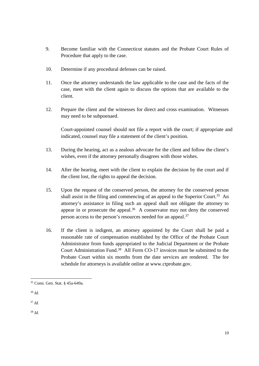- 9. Become familiar with the Connecticut statutes and the Probate Court Rules of Procedure that apply to the case.
- 10. Determine if any procedural defenses can be raised.
- 11. Once the attorney understands the law applicable to the case and the facts of the case, meet with the client again to discuss the options that are available to the client.
- 12. Prepare the client and the witnesses for direct and cross examination. Witnesses may need to be subpoenaed.

Court-appointed counsel should not file a report with the court; if appropriate and indicated, counsel may file a statement of the client's position.

- 13. During the hearing, act as a zealous advocate for the client and follow the client's wishes, even if the attorney personally disagrees with those wishes.
- 14. After the hearing, meet with the client to explain the decision by the court and if the client lost, the rights to appeal the decision.
- 15. Upon the request of the conserved person, the attorney for the conserved person shall assist in the filing and commencing of an appeal to the Superior Court.<sup>35</sup> An attorney's assistance in filing such an appeal shall not obligate the attorney to appear in or prosecute the appeal.<sup>36</sup> A conservator may not deny the conserved person access to the person's resources needed for an appeal.<sup>37</sup>
- 16. If the client is indigent, an attorney appointed by the Court shall be paid a reasonable rate of compensation established by the Office of the Probate Court Administrator from funds appropriated to the Judicial Department or the Probate Court Administration Fund.<sup>38</sup> All Form CO-17 invoices must be submitted to the Probate Court within six months from the date services are rendered. The fee schedule for attorneys is available online at www.ctprobate.gov.

<sup>37</sup> *Id.*

<sup>38</sup> *Id.*

<sup>35</sup> Conn. Gen. Stat. § 45a-649a.

<sup>36</sup> *Id*.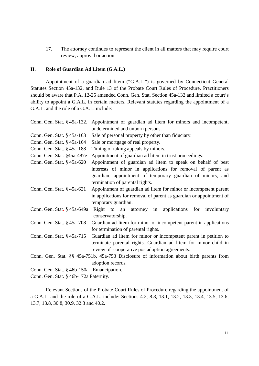17. The attorney continues to represent the client in all matters that may require court review, approval or action.

## **II. Role of Guardian Ad Litem (G.A.L.)**

Appointment of a guardian ad litem ("G.A.L.") is governed by Connecticut General Statutes Section 45a-132, and Rule 13 of the Probate Court Rules of Procedure. Practitioners should be aware that P.A. 12-25 amended Conn. Gen. Stat. Section 45a-132 and limited a court's ability to appoint a G.A.L. in certain matters. Relevant statutes regarding the appointment of a G.A.L. and the role of a G.A.L. include:

| Conn. Gen. Stat. § 45a-132.               | Appointment of guardian ad litem for minors and incompetent,                             |
|-------------------------------------------|------------------------------------------------------------------------------------------|
|                                           | undetermined and unborn persons.                                                         |
| Conn. Gen. Stat. § 45a-163                | Sale of personal property by other than fiduciary.                                       |
| Conn. Gen. Stat. § 45a-164                | Sale or mortgage of real property.                                                       |
| Conn. Gen. Stat. § 45a-188                | Timing of taking appeals by minors.                                                      |
| Conn. Gen. Stat. §45a-487e                | Appointment of guardian ad litem in trust proceedings.                                   |
| Conn. Gen. Stat. § 45a-620                | Appointment of guardian ad litem to speak on behalf of best                              |
|                                           | interests of minor in applications for removal of parent as                              |
|                                           | guardian, appointment of temporary guardian of minors, and                               |
|                                           | termination of parental rights.                                                          |
| Conn. Gen. Stat. § 45a-621                | Appointment of guardian ad litem for minor or incompetent parent                         |
|                                           | in applications for removal of parent as guardian or appointment of                      |
|                                           | temporary guardian.                                                                      |
| Conn. Gen. Stat. § 45a-649a               | Right<br>to an attorney in applications for involuntary<br>conservatorship.              |
| Conn. Gen. Stat. § 45a-708                | Guardian ad litem for minor or incompetent parent in applications                        |
|                                           | for termination of parental rights.                                                      |
| Conn. Gen. Stat. § 45a-715                | Guardian ad litem for minor or incompetent parent in petition to                         |
|                                           | terminate parental rights. Guardian ad litem for minor child in                          |
|                                           | review of cooperative postadoption agreements.                                           |
|                                           | Conn. Gen. Stat. §§ 45a-751b, 45a-753 Disclosure of information about birth parents from |
|                                           | adoption records.                                                                        |
| Conn. Gen. Stat. § 46b-150a Emancipation. |                                                                                          |
| Conn. Gen. Stat. § 46b-172a Paternity.    |                                                                                          |

Relevant Sections of the Probate Court Rules of Procedure regarding the appointment of a G.A.L. and the role of a G.A.L. include: Sections 4.2, 8.8, 13.1, 13.2, 13.3, 13.4, 13.5, 13.6, 13.7, 13.8, 30.8, 30.9, 32.3 and 40.2.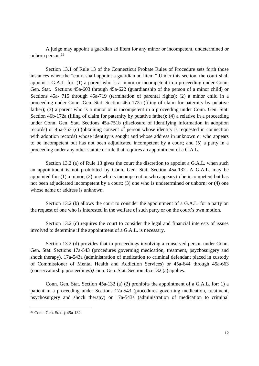A judge may appoint a guardian ad litem for any minor or incompetent, undetermined or unborn person.<sup>39</sup>

Section 13.1 of Rule 13 of the Connecticut Probate Rules of Procedure sets forth those instances when the "court shall appoint a guardian ad litem."Under this section, the court shall appoint a G.A.L. for: (1) a parent who is a minor or incompetent in a proceeding under Conn. Gen. Stat. Sections 45a-603 through 45a-622 (guardianship of the person of a minor child) or Sections 45a- 715 through 45a-719 (termination of parental rights); (2) a minor child in a proceeding under Conn. Gen. Stat. Section 46b-172a (filing of claim for paternity by putative father); (3) a parent who is a minor or is incompetent in a proceeding under Conn. Gen. Stat. Section 46b-172a (filing of claim for paternity by putative father); (4) a relative in a proceeding under Conn. Gen. Stat. Sections 45a-751b (disclosure of identifying information in adoption records) or 45a-753 (c) (obtaining consent of person whose identity is requested in connection with adoption records) whose identity is sought and whose address in unknown or who appears to be incompetent but has not been adjudicated incompetent by a court; and (5) a party in a proceeding under any other statute or rule that requires an appointment of a G.A.L.

Section 13.2 (a) of Rule 13 gives the court the discretion to appoint a G.A.L. when such an appointment is not prohibited by Conn. Gen. Stat. Section 45a-132. A G.A.L. may be appointed for: (1) a minor; (2) one who is incompetent or who appears to be incompetent but has not been adjudicated incompetent by a court; (3) one who is undetermined or unborn; or (4) one whose name or address is unknown.

Section 13.2 (b) allows the court to consider the appointment of a G.A.L. for a party on the request of one who is interested in the welfare of such party or on the court's own motion.

Section 13.2 (c) requires the court to consider the legal and financial interests of issues involved to determine if the appointment of a G.A.L. is necessary.

Section 13.2 (d) provides that in proceedings involving a conserved person under Conn. Gen. Stat. Sections 17a-543 (procedures governing medication, treatment, psychosurgery and shock therapy), 17a-543a (administration of medication to criminal defendant placed in custody of Commissioner of Mental Health and Addiction Services) or 45a-644 through 45a-663 (conservatorship proceedings),Conn. Gen. Stat. Section 45a-132 (a) applies.

Conn. Gen. Stat. Section 45a-132 (a) (2) prohibits the appointment of a G.A.L. for: 1) a patient in a proceeding under Sections 17a-543 (procedures governing medication, treatment, psychosurgery and shock therapy) or 17a-543a (administration of medication to criminal

<sup>39</sup> Conn. Gen. Stat. § 45a-132.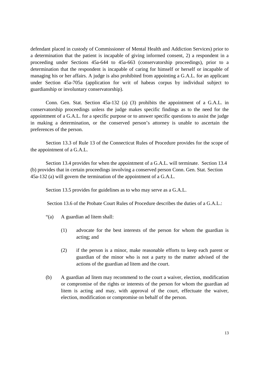defendant placed in custody of Commissioner of Mental Health and Addiction Services) prior to a determination that the patient is incapable of giving informed consent, 2) a respondent in a proceeding under Sections 45a-644 to 45a-663 (conservatorship proceedings), prior to a determination that the respondent is incapable of caring for himself or herself or incapable of managing his or her affairs. A judge is also prohibited from appointing a G.A.L. for an applicant under Section 45a-705a (application for writ of habeas corpus by individual subject to guardianship or involuntary conservatorship).

Conn. Gen. Stat. Section 45a-132 (a) (3) prohibits the appointment of a G.A.L. in conservatorship proceedings unless the judge makes specific findings as to the need for the appointment of a G.A.L. for a specific purpose or to answer specific questions to assist the judge in making a determination, or the conserved person's attorney is unable to ascertain the preferences of the person.

Section 13.3 of Rule 13 of the Connecticut Rules of Procedure provides for the scope of the appointment of a G.A.L.

Section 13.4 provides for when the appointment of a G.A.L. will terminate. Section 13.4 (b) provides that in certain proceedings involving a conserved person Conn. Gen. Stat. Section 45a-132 (a) will govern the termination of the appointment of a G.A.L.

Section 13.5 provides for guidelines as to who may serve as a G.A.L.

Section 13.6 of the Probate Court Rules of Procedure describes the duties of a G.A.L.:

- "(a) A guardian ad litem shall:
	- (1) advocate for the best interests of the person for whom the guardian is acting; and
	- (2) if the person is a minor, make reasonable efforts to keep each parent or guardian of the minor who is not a party to the matter advised of the actions of the guardian ad litem and the court.
- (b) A guardian ad litem may recommend to the court a waiver, election, modification or compromise of the rights or interests of the person for whom the guardian ad litem is acting and may, with approval of the court, effectuate the waiver, election, modification or compromise on behalf of the person.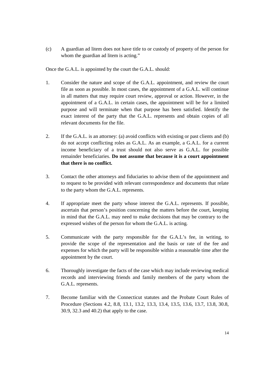(c) A guardian ad litem does not have title to or custody of property of the person for whom the guardian ad litem is acting."

Once the G.A.L. is appointed by the court the G.A.L. should:

- 1. Consider the nature and scope of the G.A.L. appointment, and review the court file as soon as possible. In most cases, the appointment of a G.A.L. will continue in all matters that may require court review, approval or action. However, in the appointment of a G.A.L. in certain cases, the appointment will be for a limited purpose and will terminate when that purpose has been satisfied. Identify the exact interest of the party that the G.A.L. represents and obtain copies of all relevant documents for the file.
- 2. If the G.A.L. is an attorney: (a) avoid conflicts with existing or past clients and (b) do not accept conflicting roles as G.A.L. As an example, a G.A.L. for a current income beneficiary of a trust should not also serve as G.A.L. for possible remainder beneficiaries. **Do not assume that because it is a court appointment that there is no conflict.**
- 3. Contact the other attorneys and fiduciaries to advise them of the appointment and to request to be provided with relevant correspondence and documents that relate to the party whom the G.A.L. represents.
- 4. If appropriate meet the party whose interest the G.A.L. represents. If possible, ascertain that person's position concerning the matters before the court, keeping in mind that the G.A.L. may need to make decisions that may be contrary to the expressed wishes of the person for whom the G.A.L. is acting.
- 5. Communicate with the party responsible for the G.A.L's fee, in writing, to provide the scope of the representation and the basis or rate of the fee and expenses for which the party will be responsible within a reasonable time after the appointment by the court.
- 6. Thoroughly investigate the facts of the case which may include reviewing medical records and interviewing friends and family members of the party whom the G.A.L. represents.
- 7. Become familiar with the Connecticut statutes and the Probate Court Rules of Procedure (Sections 4.2, 8.8, 13.1, 13.2, 13.3, 13.4, 13.5, 13.6, 13.7, 13.8, 30.8, 30.9, 32.3 and 40.2) that apply to the case.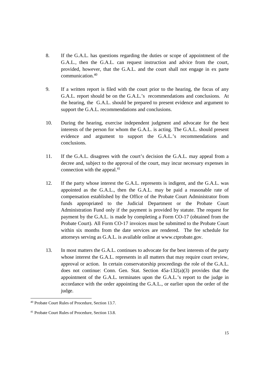- 8. If the G.A.L. has questions regarding the duties or scope of appointment of the G.A.L., then the G.A.L. can request instruction and advice from the court, provided, however, that the G.A.L. and the court shall not engage in ex parte communication.<sup>40</sup>
- 9. If a written report is filed with the court prior to the hearing, the focus of any G.A.L. report should be on the G.A.L.'s recommendations and conclusions. At the hearing, the G.A.L. should be prepared to present evidence and argument to support the G.A.L. recommendations and conclusions.
- 10. During the hearing, exercise independent judgment and advocate for the best interests of the person for whom the G.A.L. is acting. The G.A.L. should present evidence and argument to support the G.A.L.'s recommendations and conclusions.
- 11. If the G.A.L. disagrees with the court's decision the G.A.L. may appeal from a decree and, subject to the approval of the court, may incur necessary expenses in connection with the appeal.<sup>41</sup>
- 12. If the party whose interest the G.A.L. represents is indigent, and the G.A.L. was appointed as the G.A.L., then the G.A.L. may be paid a reasonable rate of compensation established by the Office of the Probate Court Administrator from funds appropriated to the Judicial Department or the Probate Court Administration Fund only if the payment is provided by statute. The request for payment by the G.A.L. is made by completing a Form CO-17 (obtained from the Probate Court). All Form CO-17 invoices must be submitted to the Probate Court within six months from the date services are rendered. The fee schedule for attorneys serving as G.A.L. is available online at www.ctprobate.gov.
- 13. In most matters the G.A.L. continues to advocate for the best interests of the party whose interest the G.A.L. represents in all matters that may require court review, approval or action. In certain conservatorship proceedings the role of the G.A.L. does not continue: Conn. Gen. Stat. Section 45a-132(a)(3) provides that the appointment of the G.A.L. terminates upon the G.A.L.'s report to the judge in accordance with the order appointing the G.A.L., or earlier upon the order of the judge.

<sup>40</sup> Probate Court Rules of Procedure, Section 13.7.

<sup>41</sup> Probate Court Rules of Procedure, Section 13.8.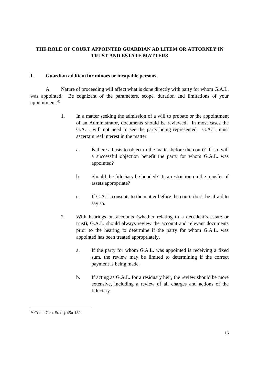# **THE ROLE OF COURT APPOINTED GUARDIAN AD LITEM OR ATTORNEY IN TRUST AND ESTATE MATTERS**

# **I. Guardian ad litem for minors or incapable persons.**

A. Nature of proceeding will affect what is done directly with party for whom G.A.L. was appointed. Be cognizant of the parameters, scope, duration and limitations of your appointment.<sup>42</sup>

- 1. In a matter seeking the admission of a will to probate or the appointment of an Administrator, documents should be reviewed. In most cases the G.A.L. will not need to see the party being represented. G.A.L. must ascertain real interest in the matter.
	- a. Is there a basis to object to the matter before the court? If so, will a successful objection benefit the party for whom G.A.L. was appointed?
	- b. Should the fiduciary be bonded? Is a restriction on the transfer of assets appropriate?
	- c. If G.A.L. consents to the matter before the court, don't be afraid to say so.
- 2. With hearings on accounts (whether relating to a decedent's estate or trust), G.A.L. should always review the account and relevant documents prior to the hearing to determine if the party for whom G.A.L. was appointed has been treated appropriately.
	- a. If the party for whom G.A.L. was appointed is receiving a fixed sum, the review may be limited to determining if the correct payment is being made.
	- b. If acting as G.A.L. for a residuary heir, the review should be more extensive, including a review of all charges and actions of the fiduciary.

<sup>42</sup> Conn. Gen. Stat. § 45a-132.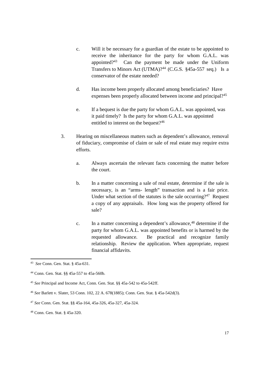- c. Will it be necessary for a guardian of the estate to be appointed to receive the inheritance for the party for whom G.A.L. was appointed?<sup>43</sup> Can the payment be made under the Uniform Transfers to Minors Act (UTMA)?<sup>44</sup> (C.G.S. §45a-557 seq.) Is a conservator of the estate needed?
- d. Has income been properly allocated among beneficiaries? Have expenses been properly allocated between income and principal?<sup>45</sup>
- e. If a bequest is due the party for whom G.A.L. was appointed, was it paid timely? Is the party for whom G.A.L. was appointed entitled to interest on the bequest?<sup>46</sup>
- 3. Hearing on miscellaneous matters such as dependent's allowance, removal of fiduciary, compromise of claim or sale of real estate may require extra efforts.
	- a. Always ascertain the relevant facts concerning the matter before the court.
	- b. In a matter concerning a sale of real estate, determine if the sale is necessary, is an "arms- length" transaction and is a fair price. Under what section of the statutes is the sale occurring?<sup>47</sup> Request a copy of any appraisals. How long was the property offered for sale?
	- c. In a matter concerning a dependent's allowance,<sup>48</sup> determine if the party for whom G.A.L. was appointed benefits or is harmed by the requested allowance. Be practical and recognize family relationship. Review the application. When appropriate, request financial affidavits.

<sup>43</sup> *See* Conn. Gen. Stat. § 45a-631.

<sup>44</sup> Conn. Gen. Stat. §§ 45a-557 to 45a-560b.

<sup>45</sup> *See* Principal and Income Act, Conn. Gen. Stat. §§ 45a-542 to 45a-542ff.

<sup>46</sup> *See* Barlett v. Slater, 53 Conn. 102, 22 A. 678(1885); Conn. Gen. Stat. § 45a-542d(3).

<sup>47</sup> *See* Conn. Gen. Stat. §§ 45a-164, 45a-326, 45a-327, 45a-324.

<sup>48</sup> Conn. Gen. Stat. § 45a-320.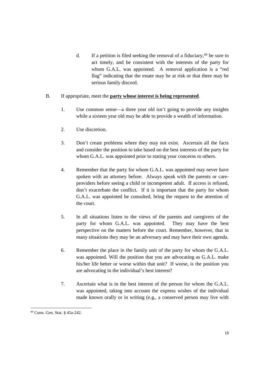d. If a petition is filed seeking the removal of a fiduciary,  $49$  be sure to act timely, and be consistent with the interests of the party for whom G.A.L. was appointed. A removal application is a "red flag" indicating that the estate may be at risk or that there may be serious family discord.

# B. If appropriate, meet the **party whose interest is being represented**.

- 1. Use common sense— a three year old isn't going to provide any insights while a sixteen year old may be able to provide a wealth of information.
- 2. Use discretion.
- 3. Don't create problems where they may not exist. Ascertain all the facts and consider the position to take based on the best interests of the party for whom G.A.L. was appointed prior to stating your concerns to others.
- 4. Remember that the party for whom G.A.L. was appointed may never have spoken with an attorney before. Always speak with the parents or careproviders before seeing a child or incompetent adult. If access is refused, don't exacerbate the conflict. If it is important that the party for whom G.A.L. was appointed be consulted, bring the request to the attention of the court.
- 5. In all situations listen to the views of the parents and caregivers of the party for whom G.A.L. was appointed. They may have the best perspective on the matters before the court. Remember, however, that in many situations they may be an adversary and may have their own agenda.
- 6. Remember the place in the family unit of the party for whom the G.A.L. was appointed. Will the position that you are advocating as G.A.L. make his/her life better or worse within that unit? If worse, is the position you are advocating in the individual's best interest?
- 7. Ascertain what is in the best interest of the person for whom the G.A.L. was appointed, taking into account the express wishes of the individual made known orally or in writing (e.g., a conserved person may live with

<sup>49</sup> Conn. Gen. Stat. § 45a-242.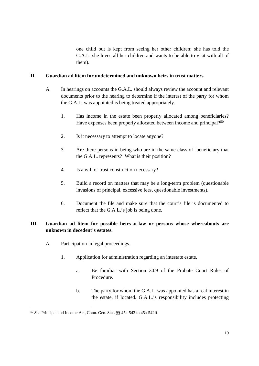one child but is kept from seeing her other children; she has told the G.A.L. she loves all her children and wants to be able to visit with all of them).

# **II. Guardian ad litem for undetermined and unknown heirs in trust matters.**

- A. In hearings on accounts the G.A.L. should always review the account and relevant documents prior to the hearing to determine if the interest of the party for whom the G.A.L. was appointed is being treated appropriately.
	- 1. Has income in the estate been properly allocated among beneficiaries? Have expenses been properly allocated between income and principal?<sup>50</sup>
	- 2. Is it necessary to attempt to locate anyone?
	- 3. Are there persons in being who are in the same class of beneficiary that the G.A.L. represents? What is their position?
	- 4. Is a will or trust construction necessary?
	- 5. Build a record on matters that may be a long-term problem (questionable invasions of principal, excessive fees, questionable investments).
	- 6. Document the file and make sure that the court's file is documented to reflect that the G.A.L.'s job is being done.

# **III. Guardian ad litem for possible heirs-at-law or persons whose whereabouts are unknown in decedent's estates.**

- A. Participation in legal proceedings.
	- 1. Application for administration regarding an intestate estate.
		- a. Be familiar with Section 30.9 of the Probate Court Rules of Procedure.
		- b. The party for whom the G.A.L. was appointed has a real interest in the estate, if located. G.A.L.'s responsibility includes protecting

<sup>50</sup> *See* Principal and Income Act, Conn. Gen. Stat. §§ 45a-542 to 45a-542ff.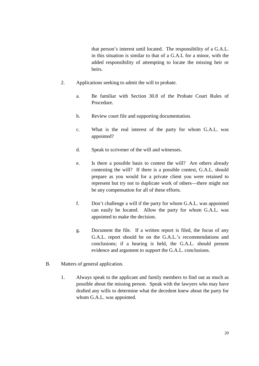that person's interest until located. The responsibility of a G.A.L. in this situation is similar to that of a G.A.L for a minor, with the added responsibility of attempting to locate the missing heir or heirs.

- 2. Applications seeking to admit the will to probate.
	- a. Be familiar with Section 30.8 of the Probate Court Rules of Procedure.
	- b. Review court file and supporting documentation.
	- c. What is the real interest of the party for whom G.A.L. was appointed?
	- d. Speak to scrivener of the will and witnesses.
	- e. Is there a possible basis to contest the will? Are others already contesting the will? If there is a possible contest, G.A.L. should prepare as you would for a private client you were retained to represent but try not to duplicate work of others— there might not be any compensation for all of these efforts.
	- f. Don't challenge a will if the party for whom G.A.L. was appointed can easily be located. Allow the party for whom G.A.L. was appointed to make the decision.
	- g. Document the file. If a written report is filed, the focus of any G.A.L. report should be on the G.A.L.'s recommendations and conclusions; if a hearing is held, the G.A.L. should present evidence and argument to support the G.A.L. conclusions.
- B. Matters of general application.
	- 1. Always speak to the applicant and family members to find out as much as possible about the missing person. Speak with the lawyers who may have drafted any wills to determine what the decedent knew about the party for whom G.A.L. was appointed.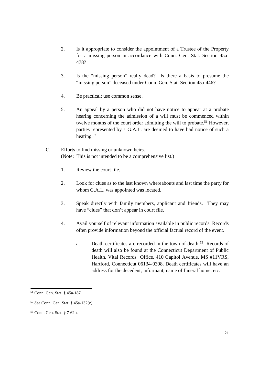- 2. Is it appropriate to consider the appointment of a Trustee of the Property for a missing person in accordance with Conn. Gen. Stat. Section 45a-478?
- 3. Is the "missing person" really dead? Is there a basis to presume the "missing person" deceased under Conn. Gen. Stat. Section 45a-446?
- 4. Be practical; use common sense.
- 5. An appeal by a person who did not have notice to appear at a probate hearing concerning the admission of a will must be commenced within twelve months of the court order admitting the will to probate.<sup>51</sup> However, parties represented by a G.A.L. are deemed to have had notice of such a hearing.<sup>52</sup>
- C. Efforts to find missing or unknown heirs. (Note: This is not intended to be a comprehensive list.)
	- 1. Review the court file.
	- 2. Look for clues as to the last known whereabouts and last time the party for whom G.A.L. was appointed was located.
	- 3. Speak directly with family members, applicant and friends. They may have "clues" that don't appear in court file.
	- 4. Avail yourself of relevant information available in public records. Records often provide information beyond the official factual record of the event.
		- a. Death certificates are recorded in the town of death.<sup>53</sup> Records of death will also be found at the Connecticut Department of Public Health, Vital Records Office, 410 Capitol Avenue, MS #11VRS, Hartford, Connecticut 06134-0308. Death certificates will have an address for the decedent, informant, name of funeral home, etc.

<sup>51</sup> Conn. Gen. Stat. § 45a-187.

<sup>52</sup> *See* Conn. Gen. Stat. § 45a-132(c).

<sup>53</sup> Conn. Gen. Stat. § 7-62b.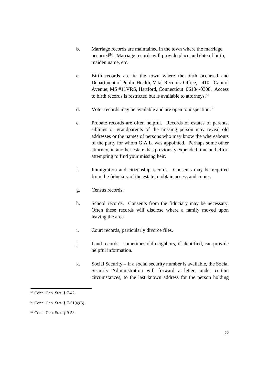- b. Marriage records are maintained in the town where the marriage occurred<sup>54</sup>. Marriage records will provide place and date of birth, maiden name, etc.
- c. Birth records are in the town where the birth occurred and Department of Public Health, Vital Records Office, 410 Capitol Avenue, MS #11VRS, Hartford, Connecticut 06134-0308. Access to birth records is restricted but is available to attorneys.<sup>55</sup>
- d. Voter records may be available and are open to inspection.<sup>56</sup>
- e. Probate records are often helpful. Records of estates of parents, siblings or grandparents of the missing person may reveal old addresses or the names of persons who may know the whereabouts of the party for whom G.A.L. was appointed. Perhaps some other attorney, in another estate, has previously expended time and effort attempting to find your missing heir.
- f. Immigration and citizenship records. Consents may be required from the fiduciary of the estate to obtain access and copies.
- g. Census records.
- h. School records. Consents from the fiduciary may be necessary. Often these records will disclose where a family moved upon leaving the area.
- i. Court records, particularly divorce files.
- j. Land records— sometimes old neighbors, if identified, can provide helpful information.
- k. Social Security –If a social security number is available, the Social Security Administration will forward a letter, under certain circumstances, to the last known address for the person holding

<sup>54</sup> Conn. Gen. Stat. § 7-42.

<sup>55</sup> Conn. Gen. Stat. § 7-51(a)(6).

<sup>56</sup> Conn. Gen. Stat. § 9-58.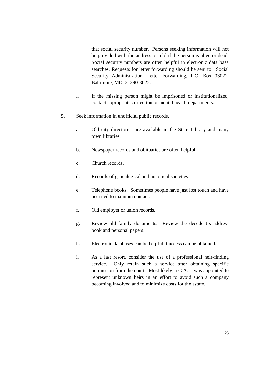that social security number. Persons seeking information will not be provided with the address or told if the person is alive or dead. Social security numbers are often helpful in electronic data base searches. Requests for letter forwarding should be sent to: Social Security Administration, Letter Forwarding, P.O. Box 33022, Baltimore, MD 21290-3022.

- l. If the missing person might be imprisoned or institutionalized, contact appropriate correction or mental health departments.
- 5. Seek information in unofficial public records.
	- a. Old city directories are available in the State Library and many town libraries.
	- b. Newspaper records and obituaries are often helpful.
	- c. Church records.
	- d. Records of genealogical and historical societies.
	- e. Telephone books. Sometimes people have just lost touch and have not tried to maintain contact.
	- f. Old employer or union records.
	- g. Review old family documents. Review the decedent's address book and personal papers.
	- h. Electronic databases can be helpful if access can be obtained.
	- i. As a last resort, consider the use of a professional heir-finding service. Only retain such a service after obtaining specific permission from the court. Most likely, a G.A.L. was appointed to represent unknown heirs in an effort to avoid such a company becoming involved and to minimize costs for the estate.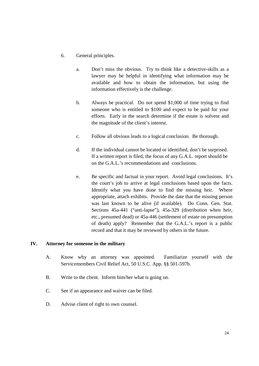- 6. General principles.
	- a. Don't miss the obvious. Try to think like a detective-skills as a lawyer may be helpful in identifying what information may be available and how to obtain the information, but using the information effectively is the challenge.
	- b. Always be practical. Do not spend \$1,000 of time trying to find someone who is entitled to \$100 and expect to be paid for your efforts. Early in the search determine if the estate is solvent and the magnitude of the client's interest.
	- c. Follow all obvious leads to a logical conclusion. Be thorough.
	- d. If the individual cannot be located or identified, don't be surprised. If a written report is filed, the focus of any G.A.L. report should be on the G.A.L.'s recommendations and conclusions.
	- e. Be specific and factual in your report. Avoid legal conclusions. It's the court's job to arrive at legal conclusions based upon the facts. Identify what you have done to find the missing heir. Where appropriate, attach exhibits. Provide the date that the missing person was last known to be alive (if available). Do Conn. Gen. Stat. Sections 45a-441 ("anti-lapse"), 45a-329 (distribution when heir, etc., presumed dead) or 45a-446 (settlement of estate on presumption of death) apply? Remember that the G.A.L.'s report is a public record and that it may be reviewed by others in the future.

# **IV. Attorney for someone in the military**

- A. Know why an attorney was appointed. Familiarize yourself with the Servicemembers Civil Relief Act, 50 U.S.C. App. §§ 501-597b.
- B. Write to the client. Inform him/her what is going on.
- C. See if an appearance and waiver can be filed.
- D. Advise client of right to own counsel.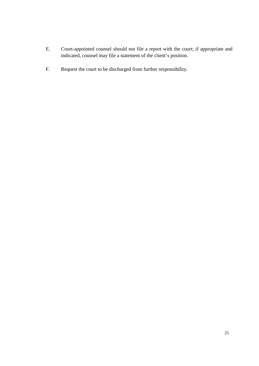- E. Court-appointed counsel should not file a report with the court; if appropriate and indicated, counsel may file a statement of the client's position.
- F. Request the court to be discharged from further responsibility.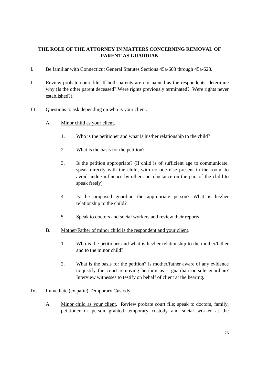# **THE ROLE OF THE ATTORNEY IN MATTERS CONCERNING REMOVAL OF PARENT AS GUARDIAN**

- I. Be familiar with Connecticut General Statutes Sections 45a-603 through 45a-623.
- II. Review probate court file. If both parents are not named as the respondents, determine why (Is the other parent deceased? Were rights previously terminated? Were rights never established?).
- III. Questions to ask depending on who is your client.
	- A. Minor child as your client**.**
		- 1. Who is the petitioner and what is his/her relationship to the child?
		- 2. What is the basis for the petition?
		- 3. Is the petition appropriate? (If child is of sufficient age to communicate, speak directly with the child, with no one else present in the room, to avoid undue influence by others or reluctance on the part of the child to speak freely)
		- 4. Is the proposed guardian the appropriate person? What is his/her relationship to the child?
		- 5. Speak to doctors and social workers and review their reports.
	- B. Mother/Father of minor child is the respondent and your client.
		- 1. Who is the petitioner and what is his/her relationship to the mother/father and to the minor child?
		- 2. What is the basis for the petition? Is mother/father aware of any evidence to justify the court removing her/him as a guardian or sole guardian? Interview witnesses to testify on behalf of client at the hearing.
- IV. Immediate (ex parte) Temporary Custody
	- A. Minor child as your client. Review probate court file; speak to doctors, family, petitioner or person granted temporary custody and social worker at the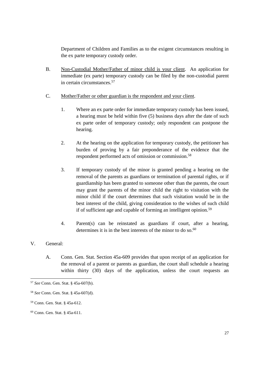Department of Children and Families as to the exigent circumstances resulting in the ex parte temporary custody order.

- B. Non-Custodial Mother/Father of minor child is your client. An application for immediate (ex parte) temporary custody can be filed by the non-custodial parent in certain circumstances.<sup>57</sup>
- C. Mother/Father or other guardian is the respondent and your client.
	- 1. Where an ex parte order for immediate temporary custody has been issued, a hearing must be held within five (5) business days after the date of such ex parte order of temporary custody; only respondent can postpone the hearing.
	- 2. At the hearing on the application for temporary custody, the petitioner has burden of proving by a fair preponderance of the evidence that the respondent performed acts of omission or commission.<sup>58</sup>
	- 3. If temporary custody of the minor is granted pending a hearing on the removal of the parents as guardians or termination of parental rights, or if guardianship has been granted to someone other than the parents, the court may grant the parents of the minor child the right to visitation with the minor child if the court determines that such visitation would be in the best interest of the child, giving consideration to the wishes of such child if of sufficient age and capable of forming an intelligent opinion.<sup>59</sup>
	- 4. Parent(s) can be reinstated as guardians if court, after a hearing, determines it is in the best interests of the minor to do so. $^{60}$

# V. General:

A. Conn. Gen. Stat. Section 45a-609 provides that upon receipt of an application for the removal of a parent or parents as guardian, the court shall schedule a hearing within thirty (30) days of the application, unless the court requests an

<sup>57</sup> *See* Conn. Gen. Stat. § 45a-607(b).

<sup>58</sup> *See* Conn. Gen. Stat. § 45a-607(d).

<sup>59</sup> Conn. Gen. Stat. § 45a-612.

<sup>60</sup> Conn. Gen. Stat. § 45a-611.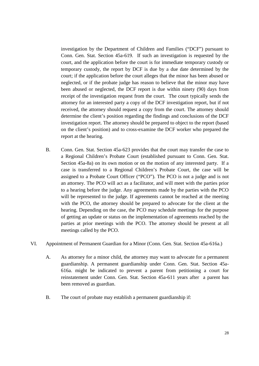investigation by the Department of Children and Families ("DCF") pursuant to Conn. Gen. Stat. Section 45a-619. If such an investigation is requested by the court, and the application before the court is for immediate temporary custody or temporary custody, the report by DCF is due by a due date determined by the court; if the application before the court alleges that the minor has been abused or neglected, or if the probate judge has reason to believe that the minor may have been abused or neglected, the DCF report is due within ninety (90) days from receipt of the investigation request from the court. The court typically sends the attorney for an interested party a copy of the DCF investigation report, but if not received, the attorney should request a copy from the court. The attorney should determine the client's position regarding the findings and conclusions of the DCF investigation report. The attorney should be prepared to object to the report (based on the client's position) and to cross-examine the DCF worker who prepared the report at the hearing.

- B. Conn. Gen. Stat. Section 45a-623 provides that the court may transfer the case to a Regional Children's Probate Court (established pursuant to Conn. Gen. Stat. Section 45a-8a) on its own motion or on the motion of any interested party. If a case is transferred to a Regional Children's Probate Court, the case will be assigned to a Probate Court Officer ("PCO"). The PCO is not a judge and is not an attorney. The PCO will act as a facilitator, and will meet with the parties prior to a hearing before the judge. Any agreements made by the parties with the PCO will be represented to the judge. If agreements cannot be reached at the meeting with the PCO, the attorney should be prepared to advocate for the client at the hearing. Depending on the case, the PCO may schedule meetings for the purpose of getting an update or status on the implementation of agreements reached by the parties at prior meetings with the PCO. The attorney should be present at all meetings called by the PCO.
- VI. Appointment of Permanent Guardian for a Minor (Conn. Gen. Stat. Section 45a-616a.)
	- A. As attorney for a minor child, the attorney may want to advocate for a permanent guardianship. A permanent guardianship under Conn. Gen. Stat. Section 45a-616a. might be indicated to prevent a parent from petitioning a court for reinstatement under Conn. Gen. Stat. Section 45a-611 years after a parent has been removed as guardian.
	- B. The court of probate may establish a permanent guardianship if: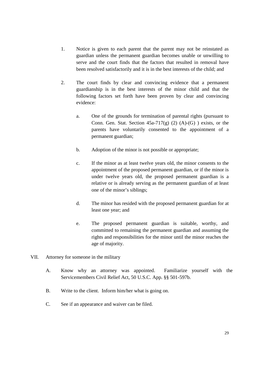- 1. Notice is given to each parent that the parent may not be reinstated as guardian unless the permanent guardian becomes unable or unwilling to serve and the court finds that the factors that resulted in removal have been resolved satisfactorily and it is in the best interests of the child; and
- 2. The court finds by clear and convincing evidence that a permanent guardianship is in the best interests of the minor child and that the following factors set forth have been proven by clear and convincing evidence:
	- a. One of the grounds for termination of parental rights (pursuant to Conn. Gen. Stat. Section  $45a-717(g)$  (2) (A)-(G) ) exists, or the parents have voluntarily consented to the appointment of a permanent guardian;
	- b. Adoption of the minor is not possible or appropriate;
	- c. If the minor as at least twelve years old, the minor consents to the appointment of the proposed permanent guardian, or if the minor is under twelve years old, the proposed permanent guardian is a relative or is already serving as the permanent guardian of at least one of the minor's siblings;
	- d. The minor has resided with the proposed permanent guardian for at least one year; and
	- e. The proposed permanent guardian is suitable, worthy, and committed to remaining the permanent guardian and assuming the rights and responsibilities for the minor until the minor reaches the age of majority.
- VII. Attorney for someone in the military
	- A. Know why an attorney was appointed. Familiarize yourself with the Servicemembers Civil Relief Act, 50 U.S.C. App. §§ 501-597b.
	- B. Write to the client. Inform him/her what is going on.
	- C. See if an appearance and waiver can be filed.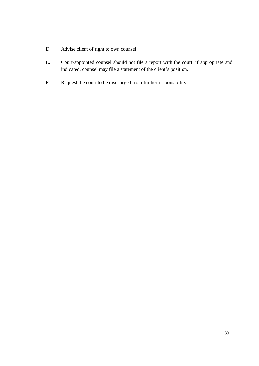- D. Advise client of right to own counsel.
- E. Court-appointed counsel should not file a report with the court; if appropriate and indicated, counsel may file a statement of the client's position.
- F. Request the court to be discharged from further responsibility.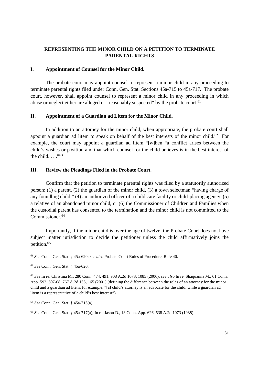# **REPRESENTING THE MINOR CHILD ON A PETITION TO TERMINATE PARENTAL RIGHTS**

### **I. Appointment of Counsel for the Minor Child.**

The probate court may appoint counsel to represent a minor child in any proceeding to terminate parental rights filed under Conn. Gen. Stat. Sections 45a-715 to 45a-717. The probate court, however, shall appoint counsel to represent a minor child in any proceeding in which abuse or neglect either are alleged or "reasonably suspected" by the probate court.<sup>61</sup>

### **II. Appointment of a Guardian ad Litem for the Minor Child.**

In addition to an attorney for the minor child, when appropriate, the probate court shall appoint a guardian ad litem to speak on behalf of the best interests of the minor child.<sup>62</sup> For example, the court may appoint a guardian ad litem "[w]hen "a conflict arises between the child's wishes or position and that which counsel for the child believes is in the best interest of the child.  $\frac{1}{63}$ 

### **III. Review the Pleadings Filed in the Probate Court.**

Confirm that the petition to terminate parental rights was filed by a statutorily authorized person: (1) a parent, (2) the guardian of the minor child, (3) a town selectman "having charge of any foundling child,"(4) an authorized officer of a child care facility or child-placing agency, (5) a relative of an abandoned minor child, or (6) the Commissioner of Children and Families when the custodial parent has consented to the termination and the minor child is not committed to the Commissioner.<sup>64</sup>

Importantly, if the minor child is over the age of twelve, the Probate Court does not have subject matter jurisdiction to decide the petitioner unless the child affirmatively joins the petition.<sup>65</sup>

<sup>61</sup> *See* Conn. Gen. Stat. § 45a-620; *see also* Probate Court Rules of Procedure, Rule 40.

<sup>62</sup> *See* Conn. Gen. Stat. § 45a-620.

<sup>63</sup> *See* In re. Christina M., 280 Conn. 474, 491, 908 A.2d 1073, 1085 (2006); *see also* In re. Shaquanna M., 61 Conn. App. 592, 607-08, 767 A.2d 155, 165 (2001) (defining the difference between the roles of an attorney for the minor child and a guardian ad litem; for example, "[a] child's attorney is an advocate for the child, while a guardian ad litem is a representative of a child's best interest").

<sup>64</sup> *See* Conn. Gen. Stat. § 45a-715(a).

<sup>65</sup> *See* Conn. Gen. Stat. § 45a-717(a); In re. Jason D., 13 Conn. App. 626, 538 A.2d 1073 (1988).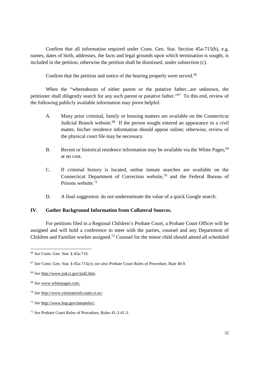Confirm that all information required under Conn. Gen. Stat. Section 45a-715(b), e.g. names, dates of birth, addresses, the facts and legal grounds upon which termination is sought, is included in the petition, otherwise the petition shall be dismissed, under subsection (c).

Confirm that the petition and notice of the hearing properly were served.<sup>66</sup>

When the "whereabouts of either parent or the putative father...are unknown, the petitioner shall diligently search for any such parent or putative father."<sup>67</sup> To this end, review of the following publicly available information may prove helpful:

- A. Many prior criminal, family or housing matters are available on the Connecticut Judicial Branch website.<sup>68</sup> If the person sought entered an appearance in a civil matter, his/her residence information should appear online; otherwise, review of the physical court file may be necessary.
- B. Recent or historical residence information may be available via the White Pages, <sup>69</sup> at no cost.
- C. If criminal history is located, online inmate searches are available on the Connecticut Department of Correction website,<sup>70</sup> and the Federal Bureau of Prisons website.<sup>71</sup>
- D. A final suggestion: do not underestimate the value of a quick Google search.

## **IV. Gather Background Information from Collateral Sources.**

For petitions filed in a Regional Children's Probate Court, a Probate Court Officer will be assigned and will hold a conference to meet with the parties, counsel and any Department of Children and Families worker assigned.<sup>72</sup> Counsel for the minor child should attend all scheduled

<sup>70</sup> *See* http://www.ctinmateinfo.state.ct.us/.

<sup>66</sup> *See* Conn. Gen. Stat. § 45a-716.

<sup>67</sup> *See* Conn. Gen. Stat. § 45a-715(c); *see also* Probate Court Rules of Procedure, Rule 40.9.

<sup>68</sup> *See* http://www.jud.ct.gov/jud2.htm.

<sup>69</sup> *See* www.whitepages.com.

<sup>71</sup> *See* http://www.bop.gov/inmateloc/.

<sup>72</sup> *See* Probate Court Rules of Procedure, Rules 41-2-41.3.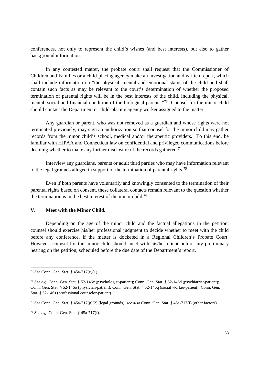conferences, not only to represent the child's wishes (and best interests), but also to gather background information.

In any contested matter, the probate court shall request that the Commissioner of Children and Families or a child-placing agency make an investigation and written report, which shall include information on "the physical, mental and emotional status of the child and shall contain such facts as may be relevant to the court's determination of whether the proposed termination of parental rights will be in the best interests of the child, including the physical, mental, social and financial condition of the biological parents."<sup>73</sup> Counsel for the minor child should contact the Department or child-placing agency worker assigned to the matter.

Any guardian or parent, who was not removed as a guardian and whose rights were not terminated previously, may sign an authorization so that counsel for the minor child may gather records from the minor child's school, medical and/or therapeutic providers. To this end, be familiar with HIPAA and Connecticut law on confidential and privileged communications before deciding whether to make any further disclosure of the records gathered.<sup>74</sup>

Interview any guardians, parents or adult third parties who may have information relevant to the legal grounds alleged in support of the termination of parental rights.<sup>75</sup>

Even if both parents have voluntarily and knowingly consented to the termination of their parental rights based on consent, these collateral contacts remain relevant to the question whether the termination is in the best interest of the minor child.<sup>76</sup>

### **V. Meet with the Minor Child.**

Depending on the age of the minor child and the factual allegations in the petition, counsel should exercise his/her professional judgment to decide whether to meet with the child before any conference, if the matter is docketed in a Regional Children's Probate Court. However, counsel for the minor child should meet with his/her client before any preliminary hearing on the petition, scheduled before the due date of the Department's report.

<sup>73</sup> *See* Conn. Gen. Stat. § 45a-717(e)(1).

<sup>74</sup> *See e.g*. Conn. Gen. Stat. § 52-146c (psychologist-patient); Conn. Gen. Stat. § 52-146d (psychiatrist-patient); Conn. Gen. Stat. § 52-146o (physician-patient); Conn. Gen. Stat. § 52-146q (social worker-patient); Conn. Gen. Stat. § 52-146s (professional counselor-patient).

<sup>75</sup> *See* Conn. Gen. Stat. § 45a-717(g)(2) (legal grounds); *see also* Conn. Gen. Stat. § 45a-717(f) (other factors).

<sup>76</sup> *See e.g.* Conn. Gen. Stat. § 45a-717(f).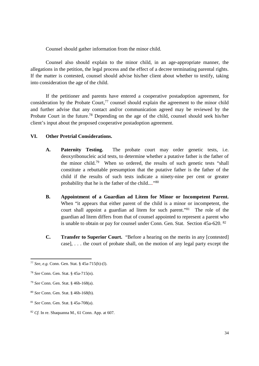Counsel should gather information from the minor child.

Counsel also should explain to the minor child, in an age-appropriate manner, the allegations in the petition, the legal process and the effect of a decree terminating parental rights. If the matter is contested, counsel should advise his/her client about whether to testify, taking into consideration the age of the child.

If the petitioner and parents have entered a cooperative postadoption agreement, for consideration by the Probate Court, <sup>77</sup> counsel should explain the agreement to the minor child and further advise that any contact and/or communication agreed may be reviewed by the Probate Court in the future.<sup>78</sup> Depending on the age of the child, counsel should seek his/her client's input about the proposed cooperative postadoption agreement.

## **VI. Other Pretrial Considerations.**

- **A. Paternity Testing.** The probate court may order genetic tests, i.e. deoxyribonucleic acid tests, to determine whether a putative father is the father of the minor child.<sup>79</sup> When so ordered, the results of such genetic tests "shall constitute a rebuttable presumption that the putative father is the father of the child if the results of such tests indicate a ninety-nine per cent or greater probability that he is the father of the child...."<sup>80</sup>
- **B. Appointment of a Guardian ad Litem for Minor or Incompetent Parent.** When "it appears that either parent of the child is a minor or incompetent, the court shall appoint a guardian ad litem for such parent."<sup>81</sup> The role of the guardian ad litem differs from that of counsel appointed to represent a parent who is unable to obtain or pay for counsel under Conn. Gen. Stat. Section 45a-620. <sup>82</sup>
- **C. Transfer to Superior Court.** "Before a hearing on the merits in any [contested] case], . . . the court of probate shall, on the motion of any legal party except the

<sup>77</sup> *See, e.g.* Conn. Gen. Stat. § 45a-715(h)-(l).

<sup>78</sup> *See* Conn. Gen. Stat. § 45a-715(n).

<sup>79</sup> *See* Conn. Gen. Stat. § 46b-168(a).

<sup>80</sup> *See* Conn. Gen. Stat. § 46b-168(b).

<sup>81</sup> *See* Conn. Gen. Stat. § 45a-708(a).

<sup>82</sup> *Cf.* In re. Shaquanna M., 61 Conn. App. at 607.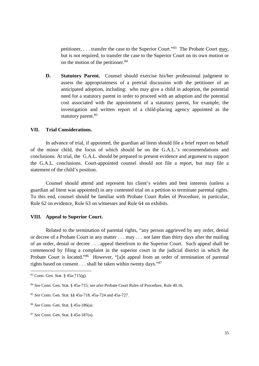petitioner, . . . transfer the case to the Superior Court."<sup>83</sup> The Probate Court may, but is not required, to transfer the case to the Superior Court on its own motion or on the motion of the petitioner.<sup>84</sup>

**D. Statutory Parent.** Counsel should exercise his/her professional judgment to assess the appropriateness of a pretrial discussion with the petitioner of an anticipated adoption, including: who may give a child in adoption, the potential need for a statutory parent in order to proceed with an adoption and the potential cost associated with the appointment of a statutory parent, for example, the investigation and written report of a child-placing agency appointed as the statutory parent.<sup>85</sup>

#### **VII. Trial Considerations.**

In advance of trial, if appointed, the guardian ad litem should file a brief report on behalf of the minor child, the focus of which should be on the G.A.L.'s recommendations and conclusions. At trial, the G.A.L. should be prepared to present evidence and argument to support the G.A.L. conclusions. Court-appointed counsel should not file a report, but may file a statement of the child's position.

Counsel should attend and represent his client's wishes and best interests (unless a guardian ad litem was appointed) in any contested trial on a petition to terminate parental rights. To this end, counsel should be familiar with Probate Court Rules of Procedure, in particular, Rule 62 on evidence, Rule 63 on witnesses and Rule 64 on exhibits.

### **VIII. Appeal to Superior Court.**

Related to the termination of parental rights, "any person aggrieved by any order, denial or decree of a Probate Court in any matter . . . may . . . not later than thirty days after the mailing of an order, denial or decree . . . appeal therefrom to the Superior Court. Such appeal shall be commenced by filing a complaint in the superior court in the judicial district in which the Probate Court is located."<sup>86</sup> However, "[a]n appeal from an order of termination of parental rights based on consent . . . shall be taken within twenty days."<sup>87</sup>

<sup>83</sup> Conn. Gen. Stat. § 45a-715(g).

<sup>84</sup> *See* Conn. Gen. Stat. § 45a-715; *see also* Probate Court Rules of Procedure, Rule 40.16.

<sup>85</sup> *See* Conn. Gen. Stat. §§ 45a-718, 45a-724 and 45a-727.

<sup>86</sup> *See* Conn. Gen. Stat. § 45a-186(a).

<sup>87</sup> *See* Conn. Gen. Stat. § 45a-187(a).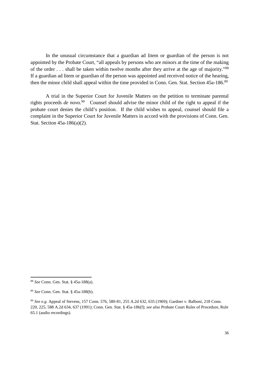In the unusual circumstance that a guardian ad litem or guardian of the person is not appointed by the Probate Court, "all appeals by persons who are minors at the time of the making of the order . . . shall be taken within twelve months after they arrive at the age of majority."<sup>88</sup> If a guardian ad litem or guardian of the person was appointed and received notice of the hearing, then the minor child shall appeal within the time provided in Conn. Gen. Stat. Section 45a-186.<sup>89</sup>

A trial in the Superior Court for Juvenile Matters on the petition to terminate parental rights proceeds *de novo*. <sup>90</sup> Counsel should advise the minor child of the right to appeal if the probate court denies the child's position. If the child wishes to appeal, counsel should file a complaint in the Superior Court for Juvenile Matters in accord with the provisions of Conn. Gen. Stat. Section 45a-186(a)(2).

<sup>88</sup> *See* Conn. Gen. Stat. § 45a-188(a).

<sup>89</sup> *See* Conn. Gen. Stat. § 45a-188(b).

<sup>90</sup> *See e.g.* Appeal of Stevens, 157 Conn. 576, 580-81, 255 A.2d 632, 635 (1969); Gardner v. Balboni, 218 Conn. 220, 225, 588 A.2d 634, 637 (1991); Conn. Gen. Stat. § 45a-186(f); *see also* Probate Court Rules of Procedure, Rule 65.1 (audio recordings).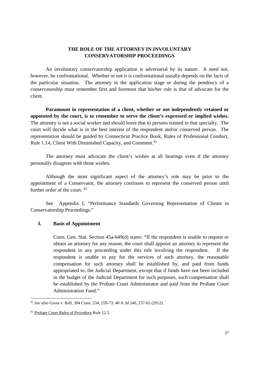## **THE ROLE OF THE ATTORNEY IN INVOLUNTARY CONSERVATORSHIP PROCEEDINGS**

An involuntary conservatorship application is adversarial by its nature. It need not, however, be confrontational. Whether or not it is confrontational usually depends on the facts of the particular situation. The attorney in the application stage or during the pendency of a conservatorship must remember first and foremost that his/her role is that of advocate for the client.

**Paramount in representation of a client, whether or not independently retained or appointed by the court, is to remember to serve the client's expressed or implied wishes.** The attorney is not a social worker and should leave that to persons trained in that specialty. The court will decide what is in the best interest of the respondent and/or conserved person. The representation should be guided by Connecticut Practice Book, Rules of Professional Conduct, Rule 1.14, Client With Diminished Capacity, and Comment.<sup>91</sup>

The attorney must advocate the client's wishes at all hearings even if the attorney personally disagrees with those wishes.

Although the most significant aspect of the attorney's role may be prior to the appointment of a Conservator, the attorney continues to represent the conserved person until further order of the court. <sup>92</sup>

See Appendix I, "Performance Standards Governing Representation of Clients in Conservatorship Proceedings."

## **I. Basis of Appointment**

Conn. Gen. Stat. Section 45a-649(d) states: "If the respondent is unable to request or obtain an attorney for any reason, the court shall appoint an attorney to represent the respondent in any proceeding under this title involving the respondent. If the respondent is unable to pay for the services of such attorney, the reasonable compensation for such attorney shall be established by, and paid from funds appropriated to, the Judicial Department, except that if funds have not been included in the budget of the Judicial Department for such purposes, such compensation shall be established by the Probate Court Administrator and paid from the Probate Court Administration Fund."

<sup>91</sup> *See also* Gross v. Rell, 304 Conn. 234, 259-73, 40 A.3d 240, 257-65 (2012).

<sup>92</sup> Probate Court Rules of Procedure Rule 12.5.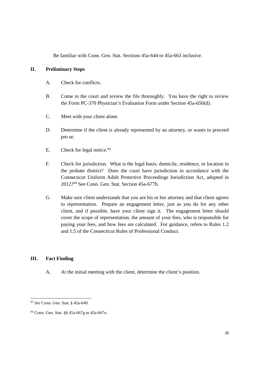Be familiar with Conn. Gen. Stat. Sections 45a-644 to 45a-663 inclusive.

## **II. Preliminary Steps**

- A. Check for conflicts.
- B. Come to the court and review the file thoroughly. You have the right to review the Form PC-370 Physician's Evaluation Form under Section 45a-650(d).
- C. Meet with your client alone.
- D. Determine if the client is already represented by an attorney, or wants to proceed pro se.
- E. Check for legal notice.  $93$
- F. Check for jurisdiction. What is the legal basis: domicile, residence, or location in the probate district? Does the court have jurisdiction in accordance with the Connecticut Uniform Adult Protective Proceedings Jurisdiction Act, adopted in 2012?<sup>94</sup> See Conn. Gen. Stat. Section 45a-677h.
- G. Make sure client understands that you are his or her attorney and that client agrees to representation. Prepare an engagement letter, just as you do for any other client, and if possible, have your client sign it. The engagement letter should cover the scope of representation, the amount of your fees, who is responsible for paying your fees, and how fees are calculated. For guidance, refers to Rules 1.2 and 1.5 of the Connecticut Rules of Professional Conduct.

# **III. Fact Finding**

A. At the initial meeting with the client, determine the client's position.

<sup>93</sup> *See* Conn. Gen. Stat. § 45a-649.

<sup>94</sup> Conn. Gen. Stat. §§ 45a-667g to 45a-667o.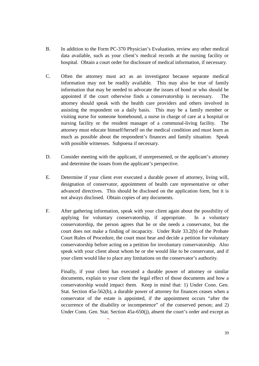- B. In addition to the Form PC-370 Physician's Evaluation, review any other medical data available, such as your client's medical records at the nursing facility or hospital. Obtain a court order for disclosure of medical information, if necessary.
- C. Often the attorney must act as an investigator because separate medical information may not be readily available. This may also be true of family information that may be needed to advocate the issues of bond or who should be appointed if the court otherwise finds a conservatorship is necessary. The attorney should speak with the health care providers and others involved in assisting the respondent on a daily basis. This may be a family member or visiting nurse for someone homebound, a nurse in charge of care at a hospital or nursing facility or the resident manager of a communal-living facility. The attorney must educate himself/herself on the medical condition and must learn as much as possible about the respondent's finances and family situation. Speak with possible witnesses. Subpoena if necessary.
- D. Consider meeting with the applicant, if unrepresented, or the applicant's attorney and determine the issues from the applicant's perspective.
- E. Determine if your client ever executed a durable power of attorney, living will, designation of conservator, appointment of health care representative or other advanced directives. This should be disclosed on the application form, but it is not always disclosed. Obtain copies of any documents.
- F. After gathering information, speak with your client again about the possibility of applying for voluntary conservatorship, if appropriate. In a voluntary conservatorship, the person agrees that he or she needs a conservator, but the court does not make a finding of incapacity. Under Rule 33.2(b) of the Probate Court Rules of Procedure, the court must hear and decide a petition for voluntary conservatorship before acting on a petition for involuntary conservatorship. Also speak with your client about whom he or she would like to be conservator, and if your client would like to place any limitations on the conservator's authority.

Finally, if your client has executed a durable power of attorney or similar documents, explain to your client the legal effect of those documents and how a conservatorship would impact them. Keep in mind that: 1) Under Conn. Gen. Stat. Section 45a-562(b), a durable power of attorney for finances ceases when a conservator of the estate is appointed, if the appointment occurs "after the occurrence of the disability or incompetence" of the conserved person; and 2) Under Conn. Gen. Stat. Section 45a-650(j), absent the court's order and except as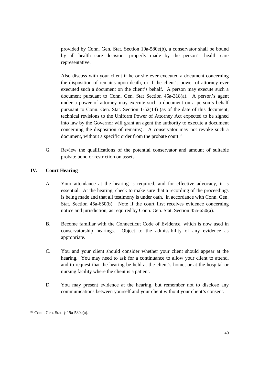provided by Conn. Gen. Stat. Section 19a-580e(b), a conservator shall be bound by all health care decisions properly made by the person's health care representative.

Also discuss with your client if he or she ever executed a document concerning the disposition of remains upon death, or if the client's power of attorney ever executed such a document on the client's behalf. A person may execute such a document pursuant to Conn. Gen. Stat Section 45a-318(a). A person's agent under a power of attorney may execute such a document on a person's behalf pursuant to Conn. Gen. Stat. Section 1-52(14) (as of the date of this document, technical revisions to the Uniform Power of Attorney Act expected to be signed into law by the Governor will grant an agent the authority to execute a document concerning the disposition of remains). A conservator may not revoke such a document, without a specific order from the probate court.<sup>95</sup>

G. Review the qualifications of the potential conservator and amount of suitable probate bond or restriction on assets.

# **IV. Court Hearing**

- A. Your attendance at the hearing is required, and for effective advocacy, it is essential. At the hearing, check to make sure that a recording of the proceedings is being made and that all testimony is under oath, in accordance with Conn. Gen. Stat. Section 45a-650(b). Note if the court first receives evidence concerning notice and jurisdiction, as required by Conn. Gen. Stat. Section 45a-650(a).
- B. Become familiar with the Connecticut Code of Evidence, which is now used in conservatorship hearings. Object to the admissibility of any evidence as appropriate.
- C. You and your client should consider whether your client should appear at the hearing. You may need to ask for a continuance to allow your client to attend, and to request that the hearing be held at the client's home, or at the hospital or nursing facility where the client is a patient.
- D. You may present evidence at the hearing, but remember not to disclose any communications between yourself and your client without your client's consent.

<sup>95</sup> Conn. Gen. Stat. § 19a-580e(a).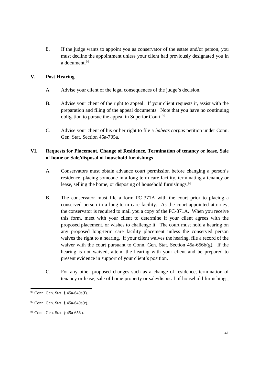E. If the judge wants to appoint you as conservator of the estate and/or person, you must decline the appointment unless your client had previously designated you in a document.<sup>96</sup>

# **V. Post-Hearing**

- A. Advise your client of the legal consequences of the judge's decision.
- B. Advise your client of the right to appeal. If your client requests it, assist with the preparation and filing of the appeal documents. Note that you have no continuing obligation to pursue the appeal in Superior Court.<sup>97</sup>
- C. Advise your client of his or her right to file a *habeas corpus* petition under Conn. Gen. Stat. Section 45a-705a.

# **VI. Requests for Placement, Change of Residence, Termination of tenancy or lease, Sale of home or Sale/disposal of household furnishings**

- A. Conservators must obtain advance court permission before changing a person's residence, placing someone in a long-term care facility, terminating a tenancy or lease, selling the home, or disposing of household furnishings.<sup>98</sup>
- B. The conservator must file a form PC-371A with the court prior to placing a conserved person in a long-term care facility. As the court-appointed attorney, the conservator is required to mail you a copy of the PC-371A. When you receive this form, meet with your client to determine if your client agrees with the proposed placement, or wishes to challenge it. The court must hold a hearing on any proposed long-term care facility placement unless the conserved person waives the right to a hearing. If your client waives the hearing, file a record of the waiver with the court pursuant to Conn. Gen. Stat. Section 45a-656b(g). If the hearing is not waived, attend the hearing with your client and be prepared to present evidence in support of your client's position.
- C. For any other proposed changes such as a change of residence, termination of tenancy or lease, sale of home property or sale/disposal of household furnishings,

<sup>96</sup> Conn. Gen. Stat. § 45a-649a(f).

<sup>97</sup> Conn. Gen. Stat. § 45a-649a(c).

<sup>98</sup> Conn. Gen. Stat. § 45a-656b.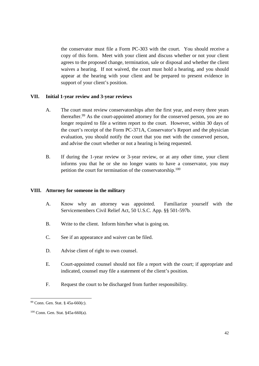the conservator must file a Form PC-303 with the court. You should receive a copy of this form. Meet with your client and discuss whether or not your client agrees to the proposed change, termination, sale or disposal and whether the client waives a hearing. If not waived, the court must hold a hearing, and you should appear at the hearing with your client and be prepared to present evidence in support of your client's position.

## **VII. Initial 1-year review and 3-year reviews**

- A. The court must review conservatorships after the first year, and every three years thereafter.<sup>99</sup> As the court-appointed attorney for the conserved person, you are no longer required to file a written report to the court. However, within 30 days of the court's receipt of the Form PC-371A, Conservator's Report and the physician evaluation, you should notify the court that you met with the conserved person, and advise the court whether or not a hearing is being requested.
- B. If during the 1-year review or 3-year review, or at any other time, your client informs you that he or she no longer wants to have a conservator, you may petition the court for termination of the conservatorship.<sup>100</sup>

## **VIII. Attorney for someone in the military**

- A. Know why an attorney was appointed. Familiarize yourself with the Servicemembers Civil Relief Act, 50 U.S.C. App. §§ 501-597b.
- B. Write to the client. Inform him/her what is going on.
- C. See if an appearance and waiver can be filed.
- D. Advise client of right to own counsel.
- E. Court-appointed counsel should not file a report with the court; if appropriate and indicated, counsel may file a statement of the client's position.
- F. Request the court to be discharged from further responsibility.

<sup>99</sup> Conn. Gen. Stat. § 45a-660(c).

<sup>100</sup> Conn. Gen. Stat. §45a-660(a).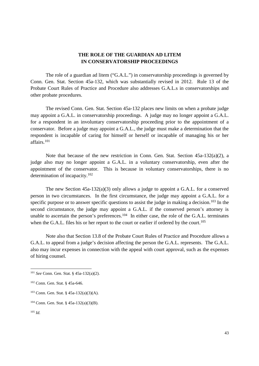# **THE ROLE OF THE GUARDIAN AD LITEM IN CONSERVATORSHIP PROCEEDINGS**

The role of a guardian ad litem ("G.A.L.") in conservatorship proceedings is governed by Conn. Gen. Stat. Section 45a-132, which was substantially revised in 2012. Rule 13 of the Probate Court Rules of Practice and Procedure also addresses G.A.L.s in conservatorships and other probate procedures.

The revised Conn. Gen. Stat. Section 45a-132 places new limits on when a probate judge may appoint a G.A.L. in conservatorship proceedings. A judge may no longer appoint a G.A.L. for a respondent in an involuntary conservatorship proceeding prior to the appointment of a conservator. Before a judge may appoint a G.A.L., the judge must make a determination that the respondent is incapable of caring for himself or herself or incapable of managing his or her affairs.<sup>101</sup>

Note that because of the new restriction in Conn. Gen. Stat. Section 45a-132(a)(2), a judge also may no longer appoint a G.A.L. in a voluntary conservatorship, even after the appointment of the conservator. This is because in voluntary conservatorships, there is no determination of incapacity.<sup>102</sup>

The new Section 45a-132(a)(3) only allows a judge to appoint a G.A.L. for a conserved person in two circumstances. In the first circumstance, the judge may appoint a G.A.L. for a specific purpose or to answer specific questions to assist the judge in making a decision.<sup>103</sup> In the second circumstance, the judge may appoint a G.A.L. if the conserved person's attorney is unable to ascertain the person's preferences.<sup>104</sup> In either case, the role of the G.A.L. terminates when the G.A.L. files his or her report to the court or earlier if ordered by the court.<sup>105</sup>

Note also that Section 13.8 of the Probate Court Rules of Practice and Procedure allows a G.A.L. to appeal from a judge's decision affecting the person the G.A.L. represents. The G.A.L. also may incur expenses in connection with the appeal with court approval, such as the expenses of hiring counsel.

<sup>101</sup> *See* Conn. Gen. Stat. § 45a-132(a)(2).

<sup>102</sup> Conn. Gen. Stat. § 45a-646.

<sup>103</sup> Conn. Gen. Stat. § 45a-132(a)(3)(A).

<sup>104</sup> Conn. Gen. Stat. § 45a-132(a)(3)(B).

<sup>105</sup> *Id.*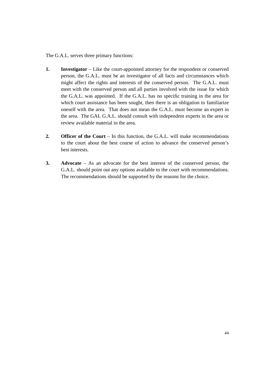The G.A.L. serves three primary functions:

- **1. Investigator** –Like the court-appointed attorney for the respondent or conserved person, the G.A.L. must be an investigator of all facts and circumstances which might affect the rights and interests of the conserved person. The G.A.L. must meet with the conserved person and all parties involved with the issue for which the G.A.L. was appointed. If the G.A.L. has no specific training in the area for which court assistance has been sought, then there is an obligation to familiarize oneself with the area. That does not mean the G.A.L. must become an expert in the area. The GAL G.A.L. should consult with independent experts in the area or review available material in the area.
- **2. Officer of the Court** In this function, the G.A.L. will make recommendations to the court about the best course of action to advance the conserved person's best interests.
- **3. Advocate** As an advocate for the best interest of the conserved person, the G.A.L. should point out any options available to the court with recommendations. The recommendations should be supported by the reasons for the choice.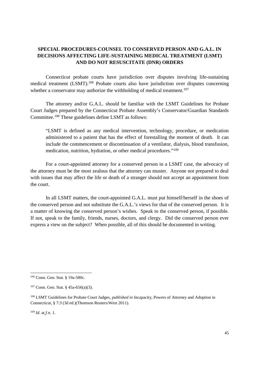# **SPECIAL PROCEDURES-COUNSEL TO CONSERVED PERSON AND G.A.L. IN DECISIONS AFFECTING LIFE-SUSTAINING MEDICAL TREATMENT (LSMT) AND DO NOT RESUSCITATE (DNR) ORDERS**

Connecticut probate courts have jurisdiction over disputes involving life-sustaining medical treatment (LSMT).<sup>106</sup> Probate courts also have jurisdiction over disputes concerning whether a conservator may authorize the withholding of medical treatment.<sup>107</sup>

The attorney and/or G.A.L. should be familiar with the LSMT Guidelines for Probate Court Judges prepared by the Connecticut Probate Assembly's Conservator/Guardian Standards Committee.<sup>108</sup> These guidelines define LSMT as follows:

"LSMT is defined as any medical intervention, technology, procedure, or medication administered to a patient that has the effect of forestalling the moment of death. It can include the commencement or discontinuation of a ventilator, dialysis, blood transfusion, medication, nutrition, hydration, or other medical procedures."<sup>109</sup>

For a court-appointed attorney for a conserved person in a LSMT case, the advocacy of the attorney must be the most zealous that the attorney can muster. Anyone not prepared to deal with issues that may affect the life or death of a stranger should not accept an appointment from the court.

In all LSMT matters, the court-appointed G.A.L. must put himself/herself in the shoes of the conserved person and not substitute the G.A.L.'s views for that of the conserved person. It is a matter of knowing the conserved person's wishes. Speak to the conserved person, if possible. If not, speak to the family, friends, nurses, doctors, and clergy. Did the conserved person ever express a view on the subject? When possible, all of this should be documented in writing.

<sup>109</sup> *Id*. at f.n. 1.

<sup>106</sup> Conn. Gen. Stat. § 19a-580c.

<sup>107</sup> Conn. Gen. Stat. § 45a-656(a)(3).

<sup>108</sup> LSMT Guidelines for Probate Court Judges, *published in* Incapacity, Powers of Attorney and Adoption in Connecticut, § 7:3 (3d ed.)(Thomson Reuters/West 2011).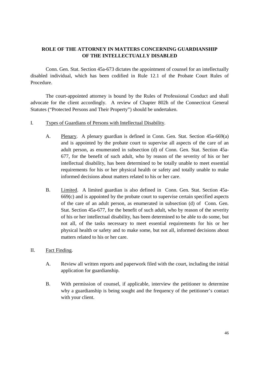# **ROLE OF THE ATTORNEY IN MATTERS CONCERNING GUARDIANSHIP OF THE INTELLECTUALLY DISABLED**

Conn. Gen. Stat. Section 45a-673 dictates the appointment of counsel for an intellectually disabled individual, which has been codified in Rule 12.1 of the Probate Court Rules of Procedure.

The court-appointed attorney is bound by the Rules of Professional Conduct and shall advocate for the client accordingly. A review of Chapter 802h of the Connecticut General Statutes ("Protected Persons and Their Property") should be undertaken.

- I. Types of Guardians of Persons with Intellectual Disability.
	- A. Plenary. A plenary guardian is defined in Conn. Gen. Stat. Section 45a-669(a) and is appointed by the probate court to supervise all aspects of the care of an adult person, as enumerated in subsection (d) of Conn. Gen. Stat. Section 45a-677, for the benefit of such adult, who by reason of the severity of his or her intellectual disability, has been determined to be totally unable to meet essential requirements for his or her physical health or safety and totally unable to make informed decisions about matters related to his or her care.
	- B. Limited. A limited guardian is also defined in Conn. Gen. Stat. Section 45a-669(c) and is appointed by the probate court to supervise certain specified aspects of the care of an adult person, as enumerated in subsection (d) of Conn. Gen. Stat. Section 45a-677, for the benefit of such adult, who by reason of the severity of his or her intellectual disability, has been determined to be able to do some, but not all, of the tasks necessary to meet essential requirements for his or her physical health or safety and to make some, but not all, informed decisions about matters related to his or her care.
- II. Fact Finding.
	- A. Review all written reports and paperwork filed with the court, including the initial application for guardianship.
	- B. With permission of counsel, if applicable, interview the petitioner to determine why a guardianship is being sought and the frequency of the petitioner's contact with your client.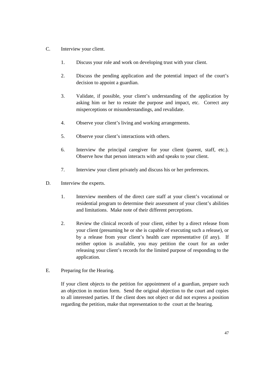- C. Interview your client.
	- 1. Discuss your role and work on developing trust with your client.
	- 2. Discuss the pending application and the potential impact of the court's decision to appoint a guardian.
	- 3. Validate, if possible, your client's understanding of the application by asking him or her to restate the purpose and impact, etc. Correct any misperceptions or misunderstandings, and revalidate.
	- 4. Observe your client's living and working arrangements.
	- 5. Observe your client's interactions with others.
	- 6. Interview the principal caregiver for your client (parent, staff, etc.). Observe how that person interacts with and speaks to your client.
	- 7. Interview your client privately and discuss his or her preferences.
- D. Interview the experts.
	- 1. Interview members of the direct care staff at your client's vocational or residential program to determine their assessment of your client's abilities and limitations. Make note of their different perceptions.
	- 2. Review the clinical records of your client, either by a direct release from your client (presuming he or she is capable of executing such a release), or by a release from your client's health care representative (if any). If neither option is available, you may petition the court for an order releasing your client's records for the limited purpose of responding to the application.
- E. Preparing for the Hearing.

If your client objects to the petition for appointment of a guardian, prepare such an objection in motion form. Send the original objection to the court and copies to all interested parties. If the client does not object or did not express a position regarding the petition, make that representation to the court at the hearing.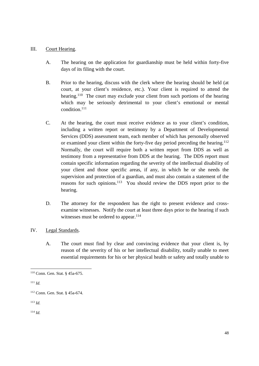## III. Court Hearing.

- A. The hearing on the application for guardianship must be held within forty-five days of its filing with the court.
- B. Prior to the hearing, discuss with the clerk where the hearing should be held (at court, at your client's residence, etc.). Your client is required to attend the hearing.<sup>110</sup> The court may exclude your client from such portions of the hearing which may be seriously detrimental to your client's emotional or mental condition.<sup>111</sup>
- C. At the hearing, the court must receive evidence as to your client's condition, including a written report or testimony by a Department of Developmental Services (DDS) assessment team, each member of which has personally observed or examined your client within the forty-five day period preceding the hearing.<sup>112</sup> Normally, the court will require both a written report from DDS as well as testimony from a representative from DDS at the hearing. The DDS report must contain specific information regarding the severity of the intellectual disability of your client and those specific areas, if any, in which he or she needs the supervision and protection of a guardian, and must also contain a statement of the reasons for such opinions.<sup>113</sup> You should review the DDS report prior to the hearing.
- D. The attorney for the respondent has the right to present evidence and crossexamine witnesses. Notify the court at least three days prior to the hearing if such witnesses must be ordered to appear.<sup>114</sup>
- IV. Legal Standards.
	- A. The court must find by clear and convincing evidence that your client is, by reason of the severity of his or her intellectual disability, totally unable to meet essential requirements for his or her physical health or safety and totally unable to

<sup>113</sup> *Id.*

<sup>114</sup> *Id.*

<sup>110</sup> Conn. Gen. Stat. § 45a-675.

<sup>111</sup> *Id.*

<sup>112</sup> Conn. Gen. Stat. § 45a-674.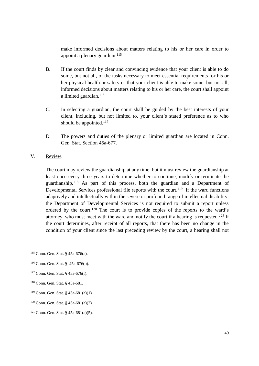make informed decisions about matters relating to his or her care in order to appoint a plenary guardian. $115$ 

- B. If the court finds by clear and convincing evidence that your client is able to do some, but not all, of the tasks necessary to meet essential requirements for his or her physical health or safety or that your client is able to make some, but not all, informed decisions about matters relating to his or her care, the court shall appoint a limited guardian.<sup>116</sup>
- C. In selecting a guardian, the court shall be guided by the best interests of your client, including, but not limited to, your client's stated preference as to who should be appointed.<sup>117</sup>
- D. The powers and duties of the plenary or limited guardian are located in Conn. Gen. Stat. Section 45a-677.

# V. Review.

The court may review the guardianship at any time, but it must review the guardianship at least once every three years to determine whether to continue, modify or terminate the guardianship.<sup>118</sup> As part of this process, both the guardian and a Department of Developmental Services professional file reports with the court.<sup>119</sup> If the ward functions adaptively and intellectually within the severe or profound range of intellectual disability, the Department of Developmental Services is not required to submit a report unless ordered by the court.<sup>120</sup> The court is to provide copies of the reports to the ward's attorney, who must meet with the ward and notify the court if a hearing is requested.*<sup>121</sup>* If the court determines, after receipt of all reports, that there has been no change in the condition of your client since the last preceding review by the court, a hearing shall not

- <sup>118</sup> Conn. Gen. Stat. § 45a-681.
- <sup>119</sup> Conn. Gen. Stat. § 45a-681(a)(1).
- <sup>120</sup> Conn. Gen. Stat. §  $45a-681(a)(2)$ .

<sup>115</sup> Conn. Gen. Stat. § 45a-676(a).

<sup>116</sup> Conn. Gen. Stat. § 45a-676(b).

<sup>117</sup> Conn. Gen. Stat. § 45a-676(f).

<sup>121</sup> Conn. Gen. Stat. § 45a-681(a)(5).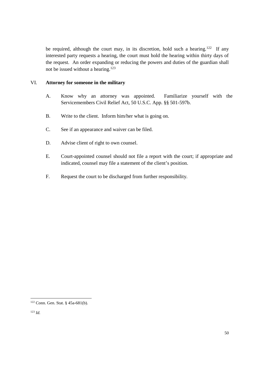be required, although the court may, in its discretion, hold such a hearing.<sup>122</sup> If any interested party requests a hearing, the court must hold the hearing within thirty days of the request. An order expanding or reducing the powers and duties of the guardian shall not be issued without a hearing.<sup>123</sup>

## VI. **Attorney for someone in the military**

- A. Know why an attorney was appointed. Familiarize yourself with the Servicemembers Civil Relief Act, 50 U.S.C. App. §§ 501-597b.
- B. Write to the client. Inform him/her what is going on.
- C. See if an appearance and waiver can be filed.
- D. Advise client of right to own counsel.
- E. Court-appointed counsel should not file a report with the court; if appropriate and indicated, counsel may file a statement of the client's position.
- F. Request the court to be discharged from further responsibility.

<sup>122</sup> Conn. Gen. Stat. § 45a-681(b).

<sup>123</sup> *Id.*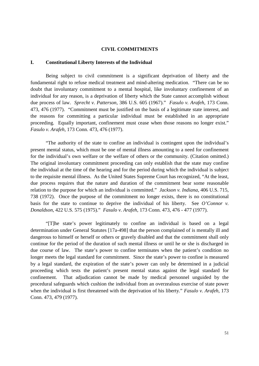#### **CIVIL COMMITMENTS**

#### **I. Constitutional Liberty Interests of the Individual**

Being subject to civil commitment is a significant deprivation of liberty and the fundamental right to refuse medical treatment and mind-altering medication. "There can be no doubt that involuntary commitment to a mental hospital, like involuntary confinement of an individual for any reason, is a deprivation of liberty which the State cannot accomplish without due process of law. *Sprecht v. Patterson*, 386 U.S. 605 (1967)." *Fasulo v. Arafeh*, 173 Conn. 473, 476 (1977). "Commitment must be justified on the basis of a legitimate state interest, and the reasons for committing a particular individual must be established in an appropriate proceeding. Equally important, confinement must cease when those reasons no longer exist." *Fasulo v. Arafeh*, 173 Conn. 473, 476 (1977).

"The authority of the state to confine an individual is contingent upon the individual's present mental status, which must be one of mental illness amounting to a need for confinement for the individual's own welfare or the welfare of others or the community. (Citation omitted.) The original involuntary commitment proceeding can only establish that the state may confine the individual at the time of the hearing and for the period during which the individual is subject to the requisite mental illness. As the United States Supreme Court has recognized, "At the least, due process requires that the nature and duration of the commitment bear some reasonable relation to the purpose for which an individual is committed." *Jackson v. Indiana*, 406 U.S. 715, 738 (1972). Once the purpose of the commitment no longer exists, there is no constitutional basis for the state to continue to deprive the individual of his liberty. See *O'Connor v. Donaldson*, 422 U.S. 575 (1975)." *Fasulo v. Arafeh*, 173 Conn. 473, 476 - 477 (1977).

"[T]he state's power legitimately to confine an individual is based on a legal determination under General Statutes [17a-498] that the person complained of is mentally ill and dangerous to himself or herself or others or gravely disabled and that the commitment shall only continue for the period of the duration of such mental illness or until he or she is discharged in due course of law. The state's power to confine terminates when the patient's condition no longer meets the legal standard for commitment. Since the state's power to confine is measured by a legal standard, the expiration of the state's power can only be determined in a judicial proceeding which tests the patient's present mental status against the legal standard for confinement. That adjudication cannot be made by medical personnel unguided by the procedural safeguards which cushion the individual from an overzealous exercise of state power when the individual is first threatened with the deprivation of his liberty."*Fasulo v. Arafeh*, 173 Conn. 473, 479 (1977).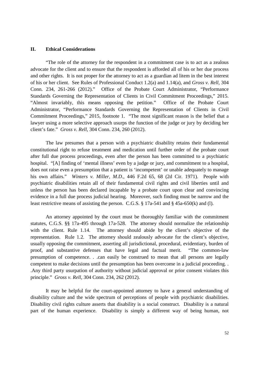#### **II. Ethical Considerations**

"The role of the attorney for the respondent in a commitment case is to act as a zealous advocate for the client and to ensure that the respondent is afforded all of his or her due process and other rights. It is not proper for the attorney to act as a guardian ad litem in the best interest of his or her client. See Rules of Professional Conduct 1.2(a) and 1.14(a), and *Gross v. Rell*, 304 Conn. 234, 261-266 (2012)." Office of the Probate Court Administrator, "Performance Standards Governing the Representation of Clients in Civil Commitment Proceedings,"2015. "Almost invariably, this means opposing the petition." Office of the Probate Court Administrator, "Performance Standards Governing the Representation of Clients in Civil Commitment Proceedings,"2015, footnote 1. "The most significant reason is the belief that a lawyer using a more selective approach usurps the function of the judge or jury by deciding her client's fate." *Gross v. Rell*, 304 Conn. 234, 260 (2012).

The law presumes that a person with a psychiatric disability retains their fundamental constitutional right to refuse treatment and medication until further order of the probate court after full due process proceedings, even after the person has been committed to a psychiatric hospital. "[A] finding of 'mental illness' even by a judge or jury, and commitment to a hospital, does not raise even a presumption that a patient is 'incompetent' or unable adequately to manage his own affairs." *Winters v. Miller, M.D.*, 446 F.2d 65, 68 (2d Cir. 1971). People with psychiatric disabilities retain all of their fundamental civil rights and civil liberties until and unless the person has been declared incapable by a probate court upon clear and convincing evidence in a full due process judicial hearing. Moreover, such finding must be narrow and the least restrictive means of assisting the person. C.G.S. § 17a-541 and § 45a-650(k) and (l).

An attorney appointed by the court must be thoroughly familiar with the commitment statutes, C.G.S. §§ 17a-495 through 17a-528. The attorney should normalize the relationship with the client. Rule 1.14. The attorney should abide by the client's objective of the representation. Rule 1.2. The attorney should zealously advocate for the client's objective, usually opposing the commitment, asserting all jurisdictional, procedural, evidentiary, burden of proof, and substantive defenses that have legal and factual merit. "The common-law presumption of competence. . .can easily be construed to mean that all persons are legally competent to make decisions until the presumption has been overcome in a judicial proceeding. . .Any third party usurpation of authority without judicial approval or prior consent violates this principle." *Gross v. Rell*, 304 Conn. 234, 262 (2012).

It may be helpful for the court-appointed attorney to have a general understanding of disability culture and the wide spectrum of perceptions of people with psychiatric disabilities. Disability civil rights culture asserts that disability is a social construct. Disability is a natural part of the human experience. Disability is simply a different way of being human, not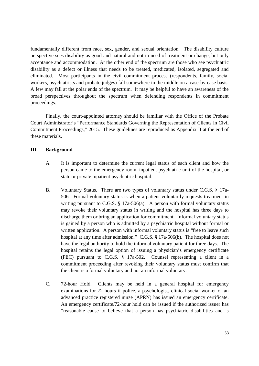fundamentally different from race, sex, gender, and sexual orientation. The disability culture perspective sees disability as good and natural and not in need of treatment or change, but only acceptance and accommodation. At the other end of the spectrum are those who see psychiatric disability as a defect or illness that needs to be treated, medicated, isolated, segregated and eliminated. Most participants in the civil commitment process (respondents, family, social workers, psychiatrists and probate judges) fall somewhere in the middle on a case-by-case basis. A few may fall at the polar ends of the spectrum. It may be helpful to have an awareness of the broad perspectives throughout the spectrum when defending respondents in commitment proceedings.

Finally, the court-appointed attorney should be familiar with the Office of the Probate Court Administrator's "Performance Standards Governing the Representation of Clients in Civil Commitment Proceedings,"2015. These guidelines are reproduced as Appendix II at the end of these materials.

## **III. Background**

- A. It is important to determine the current legal status of each client and how the person came to the emergency room, inpatient psychiatric unit of the hospital, or state or private inpatient psychiatric hospital.
- B. Voluntary Status. There are two types of voluntary status under C.G.S. § 17a-506. Formal voluntary status is when a patient voluntarily requests treatment in writing pursuant to C.G.S.  $\S 17a-506(a)$ . A person with formal voluntary status may revoke their voluntary status in writing and the hospital has three days to discharge them or bring an application for commitment. Informal voluntary status is gained by a person who is admitted by a psychiatric hospital without formal or written application. A person with informal voluntary status is "free to leave such hospital at any time after admission." C.G.S. § 17a-506(b). The hospital does not have the legal authority to hold the informal voluntary patient for three days. The hospital retains the legal option of issuing a physician's emergency certificate (PEC) pursuant to C.G.S. § 17a-502. Counsel representing a client in a commitment proceeding after revoking their voluntary status must confirm that the client is a formal voluntary and not an informal voluntary.
- C. 72-hour Hold. Clients may be held in a general hospital for emergency examinations for 72 hours if police, a psychologist, clinical social worker or an advanced practice registered nurse (APRN) has issued an emergency certificate. An emergency certificate/72-hour hold can be issued if the authorized issuer has "reasonable cause to believe that a person has psychiatric disabilities and is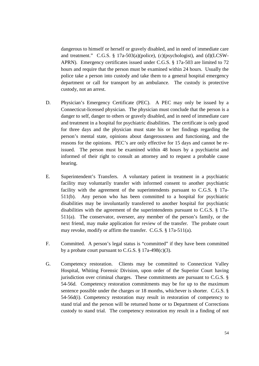dangerous to himself or herself or gravely disabled, and in need of immediate care and treatment." C.G.S. § 17a-503(a)(police), (c)(psychologist), and (d)(LCSW-APRN). Emergency certificates issued under C.G.S. § 17a-503 are limited to 72 hours and require that the person must be examined within 24 hours. Usually the police take a person into custody and take them to a general hospital emergency department or call for transport by an ambulance. The custody is protective custody, not an arrest.

- D. Physician's Emergency Certificate (PEC). A PEC may only be issued by a Connecticut-licensed physician. The physician must conclude that the person is a danger to self, danger to others or gravely disabled, and in need of immediate care and treatment in a hospital for psychiatric disabilities. The certificate is only good for three days and the physician must state his or her findings regarding the person's mental state, opinions about dangerousness and functioning, and the reasons for the opinions. PEC's are only effective for 15 days and cannot be reissued. The person must be examined within 48 hours by a psychiatrist and informed of their right to consult an attorney and to request a probable cause hearing.
- E. Superintendent's Transfers. A voluntary patient in treatment in a psychiatric facility may voluntarily transfer with informed consent to another psychiatric facility with the agreement of the superintendents pursuant to C.G.S. § 17a-511(b). Any person who has been committed to a hospital for psychiatric disabilities may be involuntarily transferred to another hospital for psychiatric disabilities with the agreement of the superintendents pursuant to C.G.S. § 17a-511(a). The conservator, overseer, any member of the person's family, or the next friend, may make application for review of the transfer. The probate court may revoke, modify or affirm the transfer. C.G.S. § 17a-511(a).
- F. Committed. A person's legal status is "committed"if they have been committed by a probate court pursuant to C.G.S.  $\S$  17a-498(c)(3).
- G. Competency restoration. Clients may be committed to Connecticut Valley Hospital, Whiting Forensic Division, upon order of the Superior Court having jurisdiction over criminal charges. These commitments are pursuant to C.G.S. § 54-56d. Competency restoration commitments may be for up to the maximum sentence possible under the charges or 18 months, whichever is shorter. C.G.S. § 54-56d(i). Competency restoration may result in restoration of competency to stand trial and the person will be returned home or to Department of Corrections custody to stand trial. The competency restoration my result in a finding of not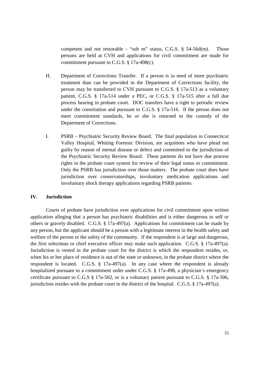competent and not restorable - "sub m" status, C.G.S. § 54-56d(m). Those persons are held at CVH and applications for civil commitment are made for commitment pursuant to C.G.S. § 17a-498(c).

- H. Department of Corrections Transfer. If a person is in need of more psychiatric treatment than can be provided in the Department of Corrections facility, the person may be transferred to CVH pursuant to C.G.S. § 17a-513 as a voluntary patient, C.G.S. § 17a-514 under a PEC, or C.G.S. § 17a-515 after a full due process hearing in probate court. DOC transfers have a right to periodic review under the constitution and pursuant to C.G.S. § 17a-516. If the person does not meet commitment standards, he or she is returned to the custody of the Department of Corrections.
- I. PSRB –Psychiatric Security Review Board. The final population in Connecticut Valley Hospital, Whiting Forensic Division, are acquittees who have plead not guilty by reason of mental disease or defect and committed to the jurisdiction of the Psychiatric Security Review Board. These patients do not have due process rights in the probate court system for review of their legal status or commitment. Only the PSRB has jurisdiction over those matters. The probate court does have jurisdiction over conservatorships, involuntary medication applications and involuntary shock therapy applications regarding PSRB patients.

## **IV. Jurisdiction**

Courts of probate have jurisdiction over applications for civil commitment upon written application alleging that a person has psychiatric disabilities and is either dangerous to self or others or gravely disabled. C.G.S. § 17a-497(a). Applications for commitment can be made by any person, but the applicant should be a person with a legitimate interest in the health safety and welfare of the person or the safety of the community. If the respondent is at large and dangerous, the first selectman or chief executive officer may make such application. C.G.S. § 17a-497(a). Jurisdiction is vested in the probate court for the district is which the respondent resides, or, when his or her place of residence is out of the state or unknown, in the probate district where the respondent is located. C.G.S. § 17a-497(a). In any case where the respondent is already hospitalized pursuant to a commitment order under C.G.S. § 17a-498, a physician's emergency certificate pursuant to C.G.S § 17a-502, or is a voluntary patient pursuant to C.G.S. § 17a-506, jurisdiction resides with the probate court in the district of the hospital. C.G.S. § 17a-497(a).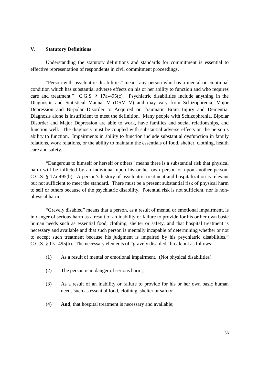#### **V. Statutory Definitions**

Understanding the statutory definitions and standards for commitment is essential to effective representation of respondents in civil commitment proceedings.

"Person with psychiatric disabilities"means any person who has a mental or emotional condition which has substantial adverse effects on his or her ability to function and who requires care and treatment." C.G.S. § 17a-495(c). Psychiatric disabilities include anything in the Diagnostic and Statistical Manual V (DSM V) and may vary from Schizophrenia, Major Depression and Bi-polar Disorder to Acquired or Traumatic Brain Injury and Dementia. Diagnosis alone is insufficient to meet the definition. Many people with Schizophrenia, Bipolar Disorder and Major Depression are able to work, have families and social relationships, and function well. The diagnosis must be coupled with substantial adverse effects on the person's ability to function. Impairments in ability to function include substantial dysfunction in family relations, work relations, or the ability to maintain the essentials of food, shelter, clothing, health care and safety.

"Dangerous to himself or herself or others"means there is a substantial risk that physical harm will be inflicted by an individual upon his or her own person or upon another person. C.G.S. § 17a-495(b). A person's history of psychiatric treatment and hospitalization is relevant but not sufficient to meet the standard. There must be a present substantial risk of physical harm to self or others because of the psychiatric disability. Potential risk is not sufficient, nor is nonphysical harm.

"Gravely disabled"means that a person, as a result of mental or emotional impairment, is in danger of serious harm as a result of an inability or failure to provide for his or her own basic human needs such as essential food, clothing, shelter or safety, and that hospital treatment is necessary and available and that such person is mentally incapable of determining whether or not to accept such treatment because his judgment is impaired by his psychiatric disabilities." C.G.S. § 17a-495(b). The necessary elements of "gravely disabled"break out as follows:

- (1) As a result of mental or emotional impairment. (Not physical disabilities).
- (2) The person is in danger of serious harm;
- (3) As a result of an inability or failure to provide for his or her own basic human needs such as essential food, clothing, shelter or safety;
- (4) **And**, that hospital treatment is necessary and available;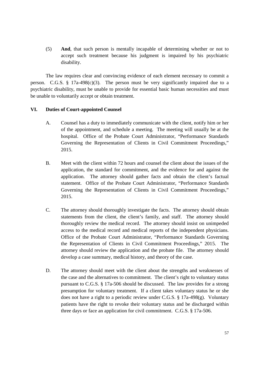(5) **And**, that such person is mentally incapable of determining whether or not to accept such treatment because his judgment is impaired by his psychiatric disability.

The law requires clear and convincing evidence of each element necessary to commit a person. C.G.S.  $\S$  17a-498(c)(3). The person must be very significantly impaired due to a psychiatric disability, must be unable to provide for essential basic human necessities and must be unable to voluntarily accept or obtain treatment.

## **VI. Duties of Court-appointed Counsel**

- A. Counsel has a duty to immediately communicate with the client, notify him or her of the appointment, and schedule a meeting. The meeting will usually be at the hospital. Office of the Probate Court Administrator, "Performance Standards Governing the Representation of Clients in Civil Commitment Proceedings," 2015.
- B. Meet with the client within 72 hours and counsel the client about the issues of the application, the standard for commitment, and the evidence for and against the application. The attorney should gather facts and obtain the client's factual statement. Office of the Probate Court Administrator, "Performance Standards Governing the Representation of Clients in Civil Commitment Proceedings," 2015.
- C. The attorney should thoroughly investigate the facts. The attorney should obtain statements from the client, the client's family, and staff. The attorney should thoroughly review the medical record. The attorney should insist on unimpeded access to the medical record and medical reports of the independent physicians. Office of the Probate Court Administrator, "Performance Standards Governing the Representation of Clients in Civil Commitment Proceedings," 2015. The attorney should review the application and the probate file. The attorney should develop a case summary, medical history, and theory of the case.
- D. The attorney should meet with the client about the strengths and weaknesses of the case and the alternatives to commitment. The client's right to voluntary status pursuant to C.G.S. § 17a-506 should be discussed. The law provides for a strong presumption for voluntary treatment. If a client takes voluntary status he or she does not have a right to a periodic review under C.G.S. § 17a-498(g). Voluntary patients have the right to revoke their voluntary status and be discharged within three days or face an application for civil commitment. C.G.S. § 17a-506.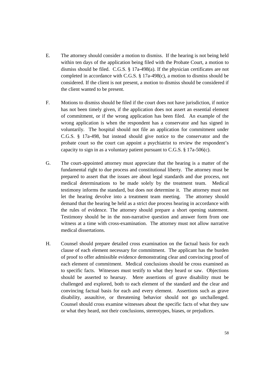- E. The attorney should consider a motion to dismiss. If the hearing is not being held within ten days of the application being filed with the Probate Court, a motion to dismiss should be filed. C.G.S. § 17a-498(a). If the physician certificates are not completed in accordance with C.G.S. § 17a-498(c), a motion to dismiss should be considered. If the client is not present, a motion to dismiss should be considered if the client wanted to be present.
- F. Motions to dismiss should be filed if the court does not have jurisdiction, if notice has not been timely given, if the application does not assert an essential element of commitment, or if the wrong application has been filed. An example of the wrong application is when the respondent has a conservator and has signed in voluntarily. The hospital should not file an application for commitment under C.G.S. § 17a-498, but instead should give notice to the conservator and the probate court so the court can appoint a psychiatrist to review the respondent's capacity to sign in as a voluntary patient pursuant to C.G.S.  $\S 17a-506(c)$ .
- G. The court-appointed attorney must appreciate that the hearing is a matter of the fundamental right to due process and constitutional liberty. The attorney must be prepared to assert that the issues are about legal standards and due process, not medical determinations to be made solely by the treatment team. Medical testimony informs the standard, but does not determine it. The attorney must not let the hearing devolve into a treatment team meeting. The attorney should demand that the hearing be held as a strict due process hearing in accordance with the rules of evidence. The attorney should prepare a short opening statement. Testimony should be in the non-narrative question and answer form from one witness at a time with cross-examination. The attorney must not allow narrative medical dissertations.
- H. Counsel should prepare detailed cross examination on the factual basis for each clause of each element necessary for commitment. The applicant has the burden of proof to offer admissible evidence demonstrating clear and convincing proof of each element of commitment. Medical conclusions should be cross examined as to specific facts. Witnesses must testify to what they heard or saw. Objections should be asserted to hearsay. Mere assertions of grave disability must be challenged and explored, both to each element of the standard and the clear and convincing factual basis for each and every element. Assertions such as grave disability, assaultive, or threatening behavior should not go unchallenged. Counsel should cross examine witnesses about the specific facts of what they saw or what they heard, not their conclusions, stereotypes, biases, or prejudices.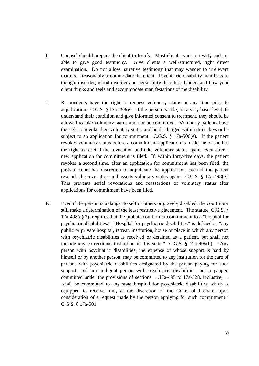- I. Counsel should prepare the client to testify. Most clients want to testify and are able to give good testimony. Give clients a well-structured, tight direct examination. Do not allow narrative testimony that may wander to irrelevant matters. Reasonably accommodate the client. Psychiatric disability manifests as thought disorder, mood disorder and personality disorder. Understand how your client thinks and feels and accommodate manifestations of the disability.
- J. Respondents have the right to request voluntary status at any time prior to adjudication. C.G.S. § 17a-498(e). If the person is able, on a very basic level, to understand their condition and give informed consent to treatment, they should be allowed to take voluntary status and not be committed. Voluntary patients have the right to revoke their voluntary status and be discharged within three days or be subject to an application for commitment. C.G.S.  $\S$  17a-506(e). If the patient revokes voluntary status before a commitment application is made, he or she has the right to rescind the revocation and take voluntary status again, even after a new application for commitment is filed. If, within forty-five days, the patient revokes a second time, after an application for commitment has been filed, the probate court has discretion to adjudicate the application, even if the patient rescinds the revocation and asserts voluntary status again. C.G.S. § 17a-498(e). This prevents serial revocations and reassertions of voluntary status after applications for commitment have been filed.
- K. Even if the person is a danger to self or others or gravely disabled, the court must still make a determination of the least restrictive placement. The statute, C.G.S. §  $17a-498(c)(3)$ , requires that the probate court order commitment to a "hospital for psychiatric disabilities." "Hospital for psychiatric disabilities" is defined as "any public or private hospital, retreat, institution, house or place in which any person with psychiatric disabilities is received or detained as a patient, but shall not include any correctional institution in this state." C.G.S. § 17a-495(b). "Any person with psychiatric disabilities, the expense of whose support is paid by himself or by another person, may be committed to any institution for the care of persons with psychiatric disabilities designated by the person paying for such support; and any indigent person with psychiatric disabilities, not a pauper, committed under the provisions of sections. . .17a-495 to 17a-528, inclusive, . . .shall be committed to any state hospital for psychiatric disabilities which is equipped to receive him, at the discretion of the Court of Probate, upon consideration of a request made by the person applying for such commitment." C.G.S. § 17a-501.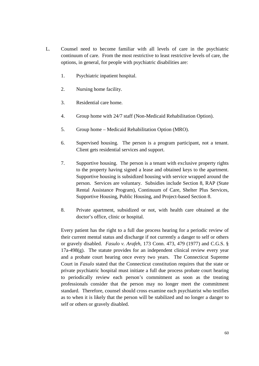- L. Counsel need to become familiar with all levels of care in the psychiatric continuum of care. From the most restrictive to least restrictive levels of care, the options, in general, for people with psychiatric disabilities are:
	- 1. Psychiatric inpatient hospital.
	- 2. Nursing home facility.
	- 3. Residential care home.
	- 4. Group home with 24/7 staff (Non-Medicaid Rehabilitation Option).
	- 5. Group home Medicaid Rehabilitation Option (MRO).
	- 6. Supervised housing. The person is a program participant, not a tenant. Client gets residential services and support.
	- 7. Supportive housing. The person is a tenant with exclusive property rights to the property having signed a lease and obtained keys to the apartment. Supportive housing is subsidized housing with service wrapped around the person. Services are voluntary. Subsidies include Section 8, RAP (State Rental Assistance Program), Continuum of Care, Shelter Plus Services, Supportive Housing, Public Housing, and Project-based Section 8.
	- 8. Private apartment, subsidized or not, with health care obtained at the doctor's office, clinic or hospital.

Every patient has the right to a full due process hearing for a periodic review of their current mental status and discharge if not currently a danger to self or others or gravely disabled. *Fasulo v. Arafeh*, 173 Conn. 473, 479 (1977) and C.G.S. § 17a-498(g). The statute provides for an independent clinical review every year and a probate court hearing once every two years. The Connecticut Supreme Court in *Fasulo* stated that the Connecticut constitution requires that the state or private psychiatric hospital must initiate a full due process probate court hearing to periodically review each person's commitment as soon as the treating professionals consider that the person may no longer meet the commitment standard. Therefore, counsel should cross examine each psychiatrist who testifies as to when it is likely that the person will be stabilized and no longer a danger to self or others or gravely disabled.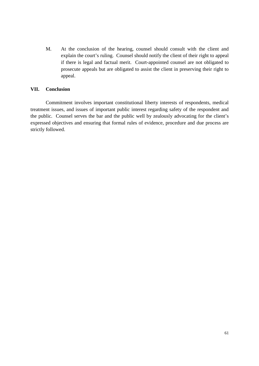M. At the conclusion of the hearing, counsel should consult with the client and explain the court's ruling. Counsel should notify the client of their right to appeal if there is legal and factual merit. Court-appointed counsel are not obligated to prosecute appeals but are obligated to assist the client in preserving their right to appeal.

## **VII. Conclusion**

Commitment involves important constitutional liberty interests of respondents, medical treatment issues, and issues of important public interest regarding safety of the respondent and the public. Counsel serves the bar and the public well by zealously advocating for the client's expressed objectives and ensuring that formal rules of evidence, procedure and due process are strictly followed.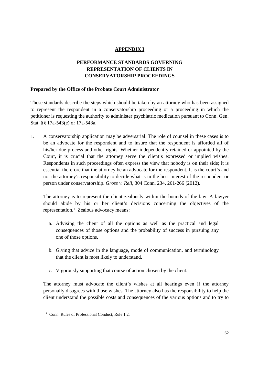# **APPENDIX I**

# **PERFORMANCE STANDARDS GOVERNING REPRESENTATION OF CLIENTS IN CONSERVATORSHIP PROCEEDINGS**

### **Prepared by the Office of the Probate Court Administrator**

These standards describe the steps which should be taken by an attorney who has been assigned to represent the respondent in a conservatorship proceeding or a proceeding in which the petitioner is requesting the authority to administer psychiatric medication pursuant to Conn. Gen. Stat. §§ 17a-543(e) or 17a-543a.

1. A conservatorship application may be adversarial. The role of counsel in these cases is to be an advocate for the respondent and to insure that the respondent is afforded all of his/her due process and other rights. Whether independently retained or appointed by the Court, it is crucial that the attorney serve the client's expressed or implied wishes. Respondents in such proceedings often express the view that nobody is on their side; it is essential therefore that the attorney be an advocate for the respondent. It is the court's and not the attorney's responsibility to decide what is in the best interest of the respondent or person under conservatorship. *Gross v. Rell*, 304 Conn. 234, 261-266 (2012).

The attorney is to represent the client zealously within the bounds of the law. A lawyer should abide by his or her client's decisions concerning the objectives of the representation.<sup>1</sup> Zealous advocacy means:

- a. Advising the client of all the options as well as the practical and legal consequences of those options and the probability of success in pursuing any one of those options.
- b. Giving that advice in the language, mode of communication, and terminology that the client is most likely to understand.
- c. Vigorously supporting that course of action chosen by the client.

The attorney must advocate the client's wishes at all hearings even if the attorney personally disagrees with those wishes. The attorney also has the responsibility to help the client understand the possible costs and consequences of the various options and to try to

<sup>&</sup>lt;sup>1</sup> Conn. Rules of Professional Conduct, Rule 1.2.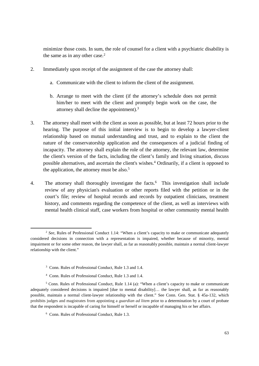minimize those costs. In sum, the role of counsel for a client with a psychiatric disability is the same as in any other case.<sup>2</sup>

- 2. Immediately upon receipt of the assignment of the case the attorney shall:
	- a. Communicate with the client to inform the client of the assignment.
	- b. Arrange to meet with the client (if the attorney's schedule does not permit him/her to meet with the client and promptly begin work on the case, the attorney shall decline the appointment).<sup>3</sup>
- 3. The attorney shall meet with the client as soon as possible, but at least 72 hours prior to the hearing. The purpose of this initial interview is to begin to develop a lawyer-client relationship based on mutual understanding and trust, and to explain to the client the nature of the conservatorship application and the consequences of a judicial finding of incapacity. The attorney shall explain the role of the attorney, the relevant law, determine the client's version of the facts, including the client's family and living situation, discuss possible alternatives, and ascertain the client's wishes.<sup>4</sup> Ordinarily, if a client is opposed to the application, the attorney must be also.<sup>5</sup>
- 4. The attorney shall thoroughly investigate the facts.<sup>6</sup> This investigation shall include review of any physician's evaluation or other reports filed with the petition or in the court's file; review of hospital records and records by outpatient clinicians, treatment history, and comments regarding the competence of the client, as well as interviews with mental health clinical staff, case workers from hospital or other community mental health

- <sup>3</sup> Conn. Rules of Professional Conduct, Rule 1.3 and 1.4.
- <sup>4</sup> Conn. Rules of Professional Conduct, Rule 1.3 and 1.4.

<sup>2</sup> *See*, Rules of Professional Conduct 1.14: "When a client's capacity to make or communicate adequately considered decisions in connection with a representation is impaired, whether because of minority, mental impairment or for some other reason, the lawyer shall, as far as reasonably possible, maintain a normal client-lawyer relationship with the client."

<sup>5</sup> Conn. Rules of Professional Conduct, Rule 1.14 (a): "When a client's capacity to make or communicate adequately considered decisions is impaired [due to mental disability]… the lawyer shall, as far as reasonably possible, maintain a normal client-lawyer relationship with the client."See Conn. Gen. Stat. § 45a-132, which prohibits judges and magistrates from appointing a *guardian ad litem* prior to a determination by a court of probate that the respondent is incapable of caring for himself or herself or incapable of managing his or her affairs.

<sup>6</sup> Conn. Rules of Professional Conduct, Rule 1.3.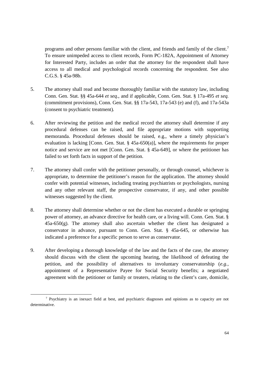programs and other persons familiar with the client, and friends and family of the client.<sup>7</sup> To ensure unimpeded access to client records, Form PC-182A, Appointment of Attorney for Interested Party, includes an order that the attorney for the respondent shall have access to all medical and psychological records concerning the respondent. See also C.G.S. § 45a-98b.

- 5. The attorney shall read and become thoroughly familiar with the statutory law, including Conn. Gen. Stat. §§ 45a-644 *et seq*., and if applicable, Conn. Gen. Stat. § 17a-495 *et seq.* (commitment provisions), Conn. Gen. Stat. §§ 17a-543, 17a-543 (e) and (f), and 17a-543a (consent to psychiatric treatment)*.*
- 6. After reviewing the petition and the medical record the attorney shall determine if any procedural defenses can be raised, and file appropriate motions with supporting memoranda. Procedural defenses should be raised, e.g., where a timely physician's evaluation is lacking [Conn. Gen. Stat. § 45a-650(a)], where the requirements for proper notice and service are not met [Conn. Gen. Stat. § 45a-649], or where the petitioner has failed to set forth facts in support of the petition.
- 7. The attorney shall confer with the petitioner personally, or through counsel, whichever is appropriate, to determine the petitioner's reason for the application. The attorney should confer with potential witnesses, including treating psychiatrists or psychologists, nursing and any other relevant staff, the prospective conservator, if any, and other possible witnesses suggested by the client.
- 8. The attorney shall determine whether or not the client has executed a durable or springing power of attorney, an advance directive for health care, or a living will. Conn. Gen. Stat. §  $45a-650(g)$ . The attorney shall also ascertain whether the client has designated a conservator in advance, pursuant to Conn. Gen. Stat. § 45a-645, or otherwise has indicated a preference for a specific person to serve as conservator.
- 9. After developing a thorough knowledge of the law and the facts of the case, the attorney should discuss with the client the upcoming hearing, the likelihood of defeating the petition, and the possibility of alternatives to involuntary conservatorship (*e.g.*, appointment of a Representative Payee for Social Security benefits; a negotiated agreement with the petitioner or family or treaters, relating to the client's care, domicile,

<sup>7</sup> Psychiatry is an inexact field at best, and psychiatric diagnoses and opinions as to capacity are not determinative.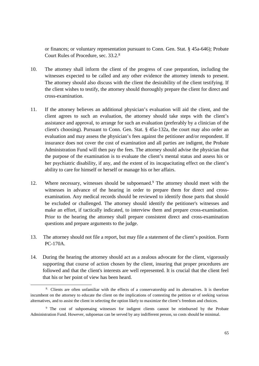or finances; or voluntary representation pursuant to Conn. Gen. Stat. § 45a-646); Probate Court Rules of Procedure, sec. 33.2.<sup>8</sup>

- 10. The attorney shall inform the client of the progress of case preparation, including the witnesses expected to be called and any other evidence the attorney intends to present. The attorney should also discuss with the client the desirability of the client testifying. If the client wishes to testify, the attorney should thoroughly prepare the client for direct and cross-examination.
- 11. If the attorney believes an additional physician's evaluation will aid the client, and the client agrees to such an evaluation, the attorney should take steps with the client's assistance and approval, to arrange for such an evaluation (preferably by a clinician of the client's choosing). Pursuant to Conn. Gen. Stat. § 45a-132a, the court may also order an evaluation and may assess the physician's fees against the petitioner and/or respondent. If insurance does not cover the cost of examination and all parties are indigent, the Probate Administration Fund will then pay the fees. The attorney should advise the physician that the purpose of the examination is to evaluate the client's mental status and assess his or her psychiatric disability, if any, and the extent of its incapacitating effect on the client's ability to care for himself or herself or manage his or her affairs.
- 12. Where necessary, witnesses should be subpoenaed.<sup>9</sup> The attorney should meet with the witnesses in advance of the hearing in order to prepare them for direct and crossexamination. Any medical records should be reviewed to identify those parts that should be excluded or challenged. The attorney should identify the petitioner's witnesses and make an effort, if tactically indicated, to interview them and prepare cross-examination. Prior to the hearing the attorney shall prepare consistent direct and cross-examination questions and prepare arguments to the judge.
- 13. The attorney should not file a report, but may file a statement of the client's position. Form PC-170A.
- 14. During the hearing the attorney should act as a zealous advocate for the client, vigorously supporting that course of action chosen by the client, insuring that proper procedures are followed and that the client's interests are well represented. It is crucial that the client feel that his or her point of view has been heard.

<sup>8.</sup> Clients are often unfamiliar with the effects of a conservatorship and its alternatives. It is therefore incumbent on the attorney to educate the client on the implications of contesting the petition or of seeking various alternatives, and to assist the client in selecting the option likely to maximize the client's freedom and choices.

<sup>9</sup> The cost of subpoenaing witnesses for indigent clients cannot be reimbursed by the Probate Administration Fund. However, subpoenas can be served by any indifferent person, so costs should be minimal.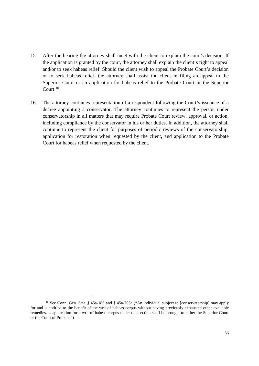- 15. After the hearing the attorney shall meet with the client to explain the court's decision. If the application is granted by the court, the attorney shall explain the client's right to appeal and/or to seek habeas relief. Should the client wish to appeal the Probate Court's decision or to seek habeas relief, the attorney shall assist the client in filing an appeal to the Superior Court or an application for habeas relief to the Probate Court or the Superior Court.<sup>10</sup>
- 16. The attorney continues representation of a respondent following the Court's issuance of a decree appointing a conservator. The attorney continues to represent the person under conservatorship in all matters that may require Probate Court review, approval, or action, including compliance by the conservator in his or her duties. In addition, the attorney shall continue to represent the client for purposes of periodic reviews of the conservatorship, application for restoration when requested by the client**,** and application to the Probate Court for habeas relief when requested by the client.

<sup>&</sup>lt;sup>10</sup> See Conn. Gen. Stat. § 45a-186 and § 45a-705a ("An individual subject to [conservatorship] may apply for and is entitled to the benefit of the writ of habeas corpus without having previously exhausted other available remedies… . application for a writ of habeas corpus under this section shall be brought to either the Superior Court or the Court of Probate.")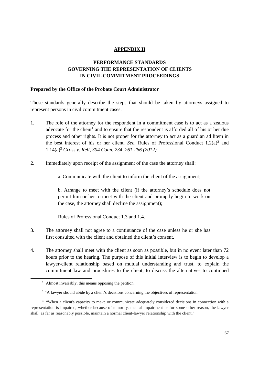# **APPENDIX II**

# **PERFORMANCE STANDARDS GOVERNING THE REPRESENTATION OF CLIENTS IN CIVIL COMMITMENT PROCEEDINGS**

### **Prepared by the Office of the Probate Court Administrator**

These standards generally describe the steps that should be taken by attorneys assigned to represent persons in civil commitment cases.

- 1. The role of the attorney for the respondent in a commitment case is to act as a zealous advocate for the client<sup>1</sup> and to ensure that the respondent is afforded all of his or her due process and other rights. It is not proper for the attorney to act as a guardian ad litem in the best interest of his or her client. *See*, Rules of Professional Conduct  $1.2(a)^2$  and 1.14(a)<sup>3</sup> *Gross v. Rell, 304 Conn. 234, 261-266 (2012).*
- 2. Immediately upon receipt of the assignment of the case the attorney shall:

a. Communicate with the client to inform the client of the assignment;

b. Arrange to meet with the client (if the attorney's schedule does not permit him or her to meet with the client and promptly begin to work on the case, the attorney shall decline the assignment);

Rules of Professional Conduct 1.3 and 1.4.

- 3. The attorney shall not agree to a continuance of the case unless he or she has first consulted with the client and obtained the client's consent.
- 4. The attorney shall meet with the client as soon as possible, but in no event later than 72 hours prior to the hearing. The purpose of this initial interview is to begin to develop a lawyer-client relationship based on mutual understanding and trust, to explain the commitment law and procedures to the client, to discuss the alternatives to continued

<sup>&</sup>lt;sup>1</sup> Almost invariably, this means opposing the petition.

<sup>&</sup>lt;sup>2</sup> "A lawyer should abide by a client's decisions concerning the objectives of representation."

<sup>&</sup>lt;sup>3</sup> "When a client's capacity to make or communicate adequately considered decisions in connection with a representation is impaired, whether because of minority, mental impairment or for some other reason, the lawyer shall, as far as reasonably possible, maintain a normal client-lawyer relationship with the client."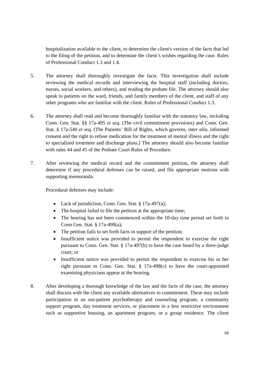hospitalization available to the client, to determine the client's version of the facts that led to the filing of the petition, and to determine the client's wishes regarding the case. Rules of Professional Conduct 1.3 and 1.4.

- 5. The attorney shall thoroughly investigate the facts. This investigation shall include reviewing the medical records and interviewing the hospital staff (including doctors, nurses, social workers, and others), and reading the probate file. The attorney should also speak to patients on the ward, friends, and family members of the client, and staff of any other programs who are familiar with the client. Rules of Professional Conduct 1.3.
- 6. The attorney shall read and become thoroughly familiar with the statutory law, including Conn. Gen. Stat. §§ 17a-495 *et seq.* (The civil commitment provisions) and Conn. Gen. Stat. § 17a-540 *et seq.* (The Patients' Bill of Rights, which governs, *inter alia*, informed consent and the right to refuse medication for the treatment of mental illness and the right to specialized treatment and discharge plans.) The attorney should also become familiar with rules 44 and 45 of the Probate Court Rules of Procedure.
- 7. After reviewing the medical record and the commitment petition, the attorney shall determine if any procedural defenses can be raised, and file appropriate motions with supporting memoranda.

Procedural defenses may include:

- Lack of jurisdiction, Conn. Gen. Stat. § 17a-497(a);
- The hospital failed to file the petition at the appropriate time;
- The hearing has not been commenced within the 10-day time period set forth in Conn Gen. Stat. § 17a-498(a);
- The petition fails to set forth facts in support of the petition;
- Insufficient notice was provided to permit the respondent to exercise the right pursuant to Conn. Gen. Stat. § 17a-497(b) to have the case heard by a three-judge court; or
- Insufficient notice was provided to permit the respondent to exercise his or her right pursuant to Conn. Gen. Stat. § 17a-498(c) to have the court-appointed examining physicians appear at the hearing.
- 8. After developing a thorough knowledge of the law and the facts of the case, the attorney shall discuss with the client any available alternatives to commitment. These may include participation in an out-patient psychotherapy and counseling program, a community support program, day treatment services, or placement in a less restrictive environment such as supportive housing, an apartment program, or a group residence. The client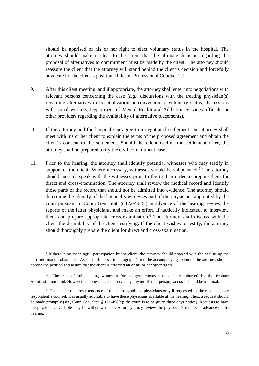should be apprised of his or her right to elect voluntary status in the hospital. The attorney should make it clear to the client that the ultimate decision regarding the proposal of alternatives to commitment must be made by the client. The attorney should reassure the client that the attorney will stand behind the client's decision and forcefully advocate for the client's position. Rules of Professional Conduct 2.1.<sup>4</sup>

- 9. After this client meeting, and if appropriate, the attorney shall enter into negotiations with relevant persons concerning the case (*e.g.*, discussions with the treating physician(s) regarding alternatives to hospitalization or conversion to voluntary status; discussions with social workers, Department of Mental Health and Addiction Services officials, or other providers regarding the availability of alternative placements).
- 10. If the attorney and the hospital can agree to a negotiated settlement, the attorney shall meet with his or her client to explain the terms of the proposed agreement and obtain the client's consent to the settlement. Should the client decline the settlement offer, the attorney shall be prepared to try the civil commitment case.
- 11. Prior to the hearing, the attorney shall identify potential witnesses who may testify in support of the client. Where necessary, witnesses should be subpoenaed.<sup>5</sup> The attorney should meet or speak with the witnesses prior to the trial in order to prepare them for direct and cross-examination. The attorney shall review the medical record and identify those parts of the record that should not be admitted into evidence. The attorney should determine the identity of the hospital's witnesses and of the physicians appointed by the court pursuant to Conn. Gen. Stat. § 17a-498(c) in advance of the hearing, review the reports of the latter physicians, and make an effort, if tactically indicated, to interview them and prepare appropriate cross-examination.<sup>6</sup> The attorney shall discuss with the client the desirability of the client testifying. If the client wishes to testify, the attorney should thoroughly prepare the client for direct and cross-examination.

<sup>4</sup> If there is no meaningful participation by the client, the attorney should proceed with the trial using the best information obtainable. As set forth above in paragraph 1 and the accompanying footnote, the attorney should oppose the petition and assure that the client is afforded all of his or her other rights.

<sup>&</sup>lt;sup>5</sup> The cost of subpoenaing witnesses for indigent clients cannot be reimbursed by the Probate Administration fund. However, subpoenas can be served by any indifferent person, so costs should be minimal.

<sup>6</sup> The statute requires attendance of the court-appointed physicians only if requested by the respondent or respondent's counsel. It is usually advisable to have these physicians available at the hearing. Thus, a request should be made promptly (see, Conn Gen. Stat. § 17a-498(c): the court is to be given three days notice). Requests to have the physicians available may be withdrawn later. Attorneys may review the physician's reports in advance of the hearing.